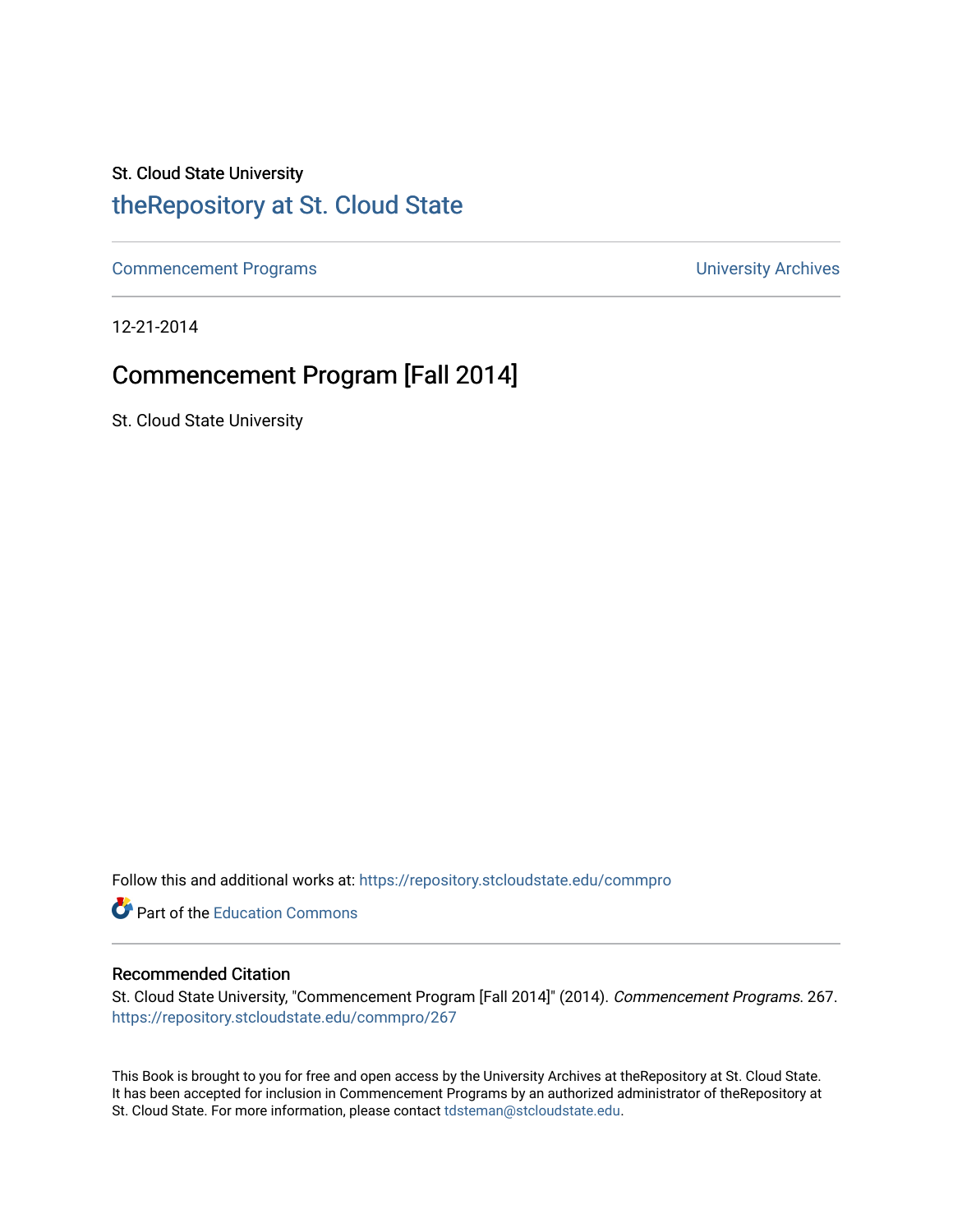## St. Cloud State University

## [theRepository at St. Cloud State](https://repository.stcloudstate.edu/)

[Commencement Programs](https://repository.stcloudstate.edu/commpro) **Commencement Programs University Archives** 

12-21-2014

## Commencement Program [Fall 2014]

St. Cloud State University

Follow this and additional works at: [https://repository.stcloudstate.edu/commpro](https://repository.stcloudstate.edu/commpro?utm_source=repository.stcloudstate.edu%2Fcommpro%2F267&utm_medium=PDF&utm_campaign=PDFCoverPages) 

Part of the [Education Commons](http://network.bepress.com/hgg/discipline/784?utm_source=repository.stcloudstate.edu%2Fcommpro%2F267&utm_medium=PDF&utm_campaign=PDFCoverPages)

#### Recommended Citation

St. Cloud State University, "Commencement Program [Fall 2014]" (2014). Commencement Programs. 267. [https://repository.stcloudstate.edu/commpro/267](https://repository.stcloudstate.edu/commpro/267?utm_source=repository.stcloudstate.edu%2Fcommpro%2F267&utm_medium=PDF&utm_campaign=PDFCoverPages) 

This Book is brought to you for free and open access by the University Archives at theRepository at St. Cloud State. It has been accepted for inclusion in Commencement Programs by an authorized administrator of theRepository at St. Cloud State. For more information, please contact [tdsteman@stcloudstate.edu.](mailto:tdsteman@stcloudstate.edu)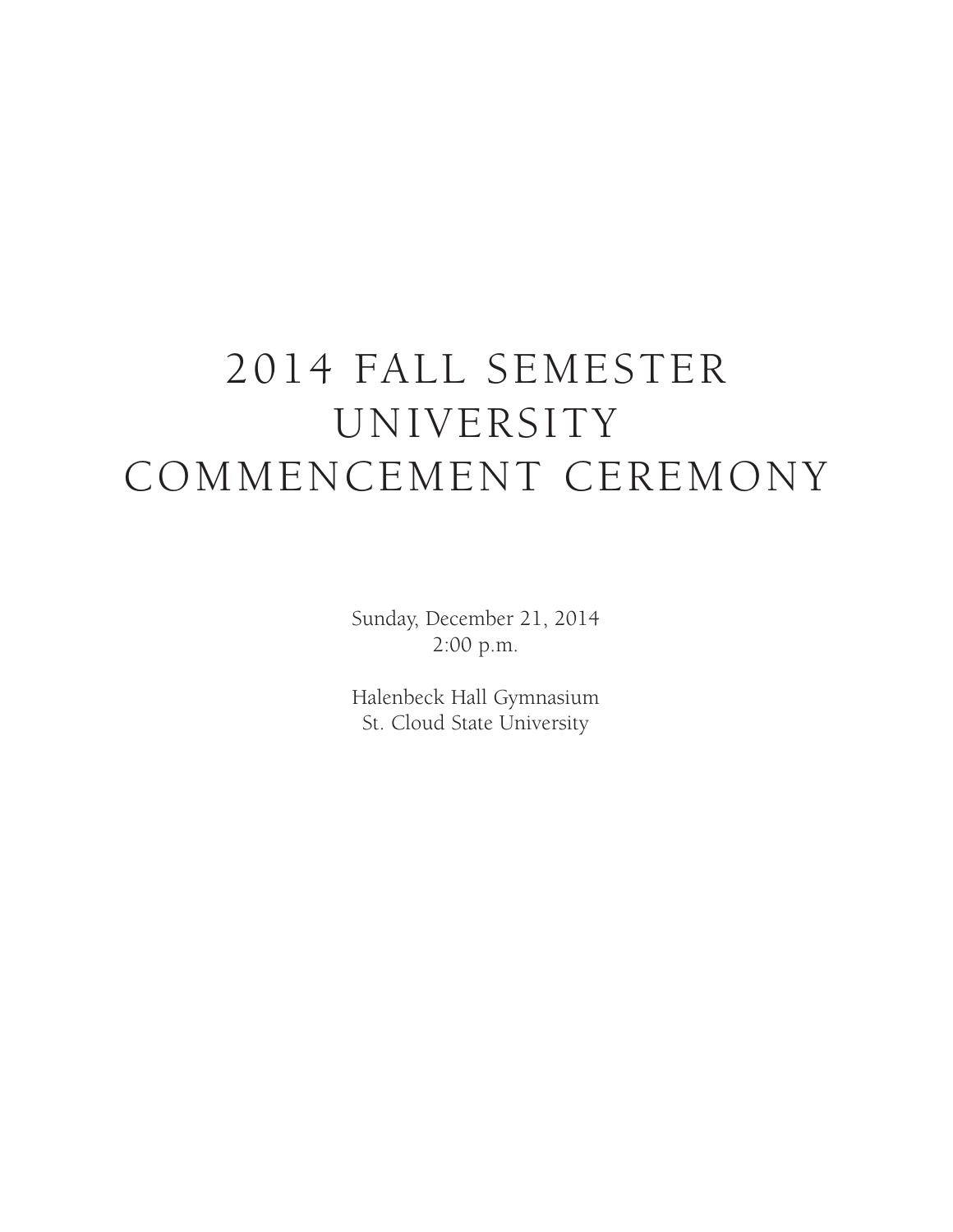# 2014 FALL SEMESTER UNIVERSITY COMMENCEMENT CEREMONY

Sunday, December 21, 2014 2:00 p.m.

Halenbeck Hall Gymnasium St. Cloud State University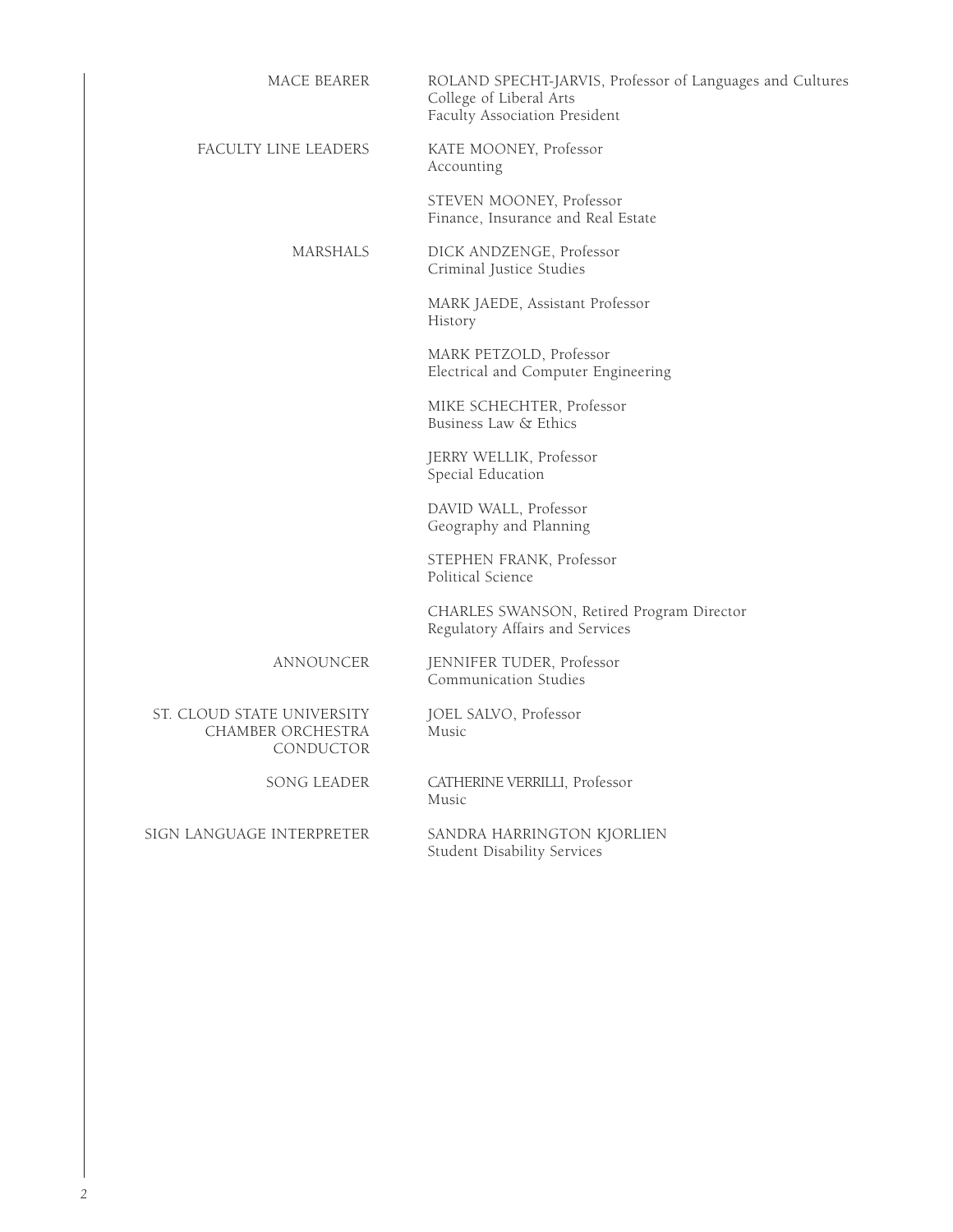| <b>MACE BEARER</b>                                           | ROLAND SPECHT-JARVIS, Professor of Languages and Cultures<br>College of Liberal Arts<br>Faculty Association President |
|--------------------------------------------------------------|-----------------------------------------------------------------------------------------------------------------------|
| FACULTY LINE LEADERS                                         | KATE MOONEY, Professor<br>Accounting                                                                                  |
|                                                              | STEVEN MOONEY, Professor<br>Finance, Insurance and Real Estate                                                        |
| <b>MARSHALS</b>                                              | DICK ANDZENGE, Professor<br>Criminal Justice Studies                                                                  |
|                                                              | MARK JAEDE, Assistant Professor<br>History                                                                            |
|                                                              | MARK PETZOLD, Professor<br>Electrical and Computer Engineering                                                        |
|                                                              | MIKE SCHECHTER, Professor<br>Business Law & Ethics                                                                    |
|                                                              | JERRY WELLIK, Professor<br>Special Education                                                                          |
|                                                              | DAVID WALL, Professor<br>Geography and Planning                                                                       |
|                                                              | STEPHEN FRANK, Professor<br>Political Science                                                                         |
|                                                              | CHARLES SWANSON, Retired Program Director<br>Regulatory Affairs and Services                                          |
| ANNOUNCER                                                    | JENNIFER TUDER, Professor<br>Communication Studies                                                                    |
| ST. CLOUD STATE UNIVERSITY<br>CHAMBER ORCHESTRA<br>CONDUCTOR | JOEL SALVO, Professor<br>Music                                                                                        |
| SONG LEADER                                                  | CATHERINE VERRILLI, Professor<br>Music                                                                                |
| SIGN LANGUAGE INTERPRETER                                    | SANDRA HARRINGTON KJORLIEN<br>Student Disability Services                                                             |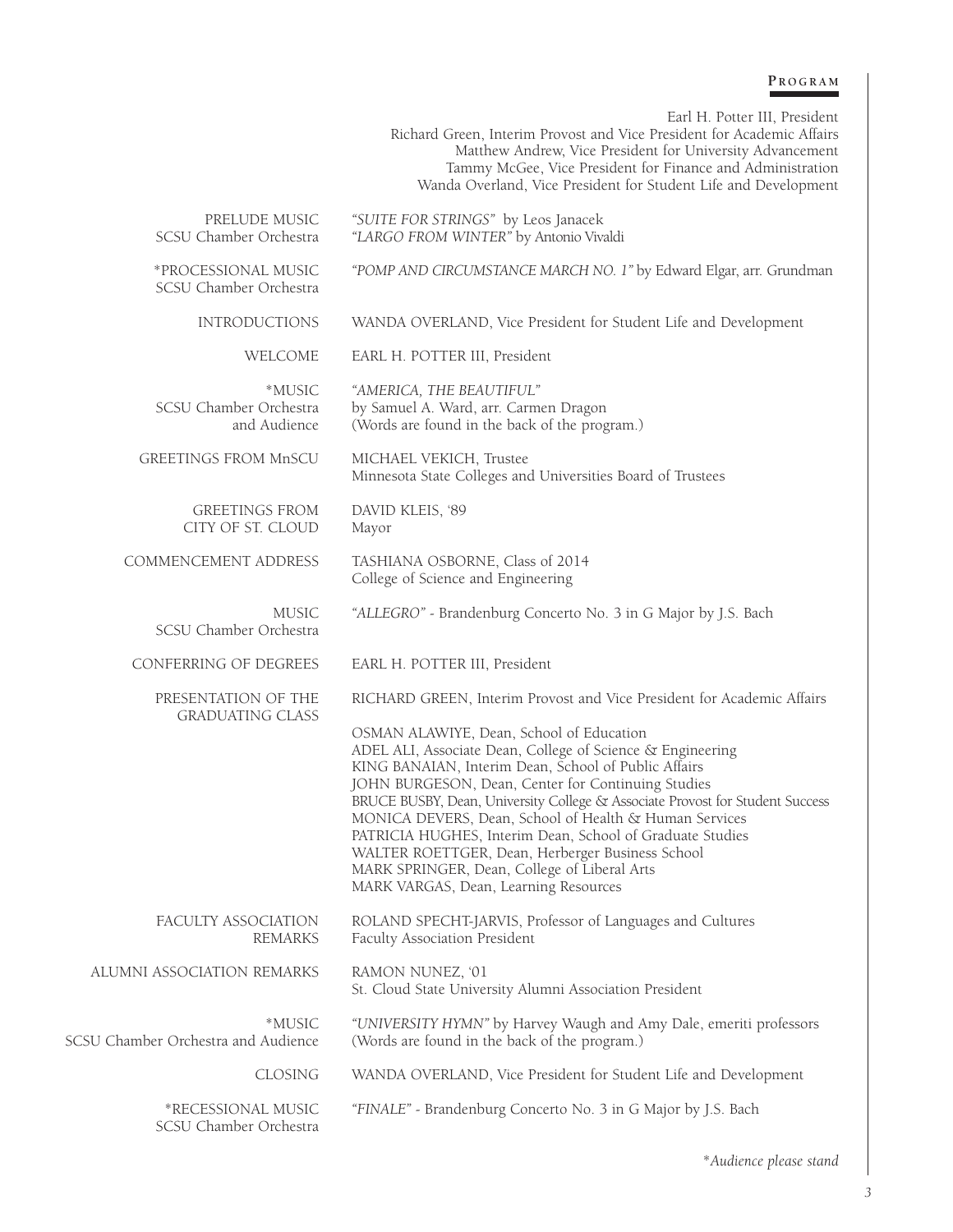#### **P r o g r a m**

Earl H. Potter III, President

 Richard Green, Interim Provost and Vice President for Academic Affairs Matthew Andrew, Vice President for University Advancement Tammy McGee, Vice President for Finance and Administration Wanda Overland, Vice President for Student Life and Development

| PRELUDE MUSIC<br>SCSU Chamber Orchestra          | "SUITE FOR STRINGS" by Leos Janacek<br>"LARGO FROM WINTER" by Antonio Vivaldi                                                                                                                                                                                                                                                                                                                                                                                                                                                                                                                                                                       |
|--------------------------------------------------|-----------------------------------------------------------------------------------------------------------------------------------------------------------------------------------------------------------------------------------------------------------------------------------------------------------------------------------------------------------------------------------------------------------------------------------------------------------------------------------------------------------------------------------------------------------------------------------------------------------------------------------------------------|
| *PROCESSIONAL MUSIC<br>SCSU Chamber Orchestra    | "POMP AND CIRCUMSTANCE MARCH NO. 1" by Edward Elgar, arr. Grundman                                                                                                                                                                                                                                                                                                                                                                                                                                                                                                                                                                                  |
| <b>INTRODUCTIONS</b>                             | WANDA OVERLAND, Vice President for Student Life and Development                                                                                                                                                                                                                                                                                                                                                                                                                                                                                                                                                                                     |
| WELCOME                                          | EARL H. POTTER III, President                                                                                                                                                                                                                                                                                                                                                                                                                                                                                                                                                                                                                       |
| *MUSIC<br>SCSU Chamber Orchestra<br>and Audience | "AMERICA, THE BEAUTIFUL"<br>by Samuel A. Ward, arr. Carmen Dragon<br>(Words are found in the back of the program.)                                                                                                                                                                                                                                                                                                                                                                                                                                                                                                                                  |
| GREETINGS FROM MnSCU                             | MICHAEL VEKICH, Trustee<br>Minnesota State Colleges and Universities Board of Trustees                                                                                                                                                                                                                                                                                                                                                                                                                                                                                                                                                              |
| <b>GREETINGS FROM</b><br>CITY OF ST. CLOUD       | DAVID KLEIS, '89<br>Mayor                                                                                                                                                                                                                                                                                                                                                                                                                                                                                                                                                                                                                           |
| COMMENCEMENT ADDRESS                             | TASHIANA OSBORNE, Class of 2014<br>College of Science and Engineering                                                                                                                                                                                                                                                                                                                                                                                                                                                                                                                                                                               |
| <b>MUSIC</b><br>SCSU Chamber Orchestra           | "ALLEGRO" - Brandenburg Concerto No. 3 in G Major by J.S. Bach                                                                                                                                                                                                                                                                                                                                                                                                                                                                                                                                                                                      |
| CONFERRING OF DEGREES                            | EARL H. POTTER III, President                                                                                                                                                                                                                                                                                                                                                                                                                                                                                                                                                                                                                       |
| PRESENTATION OF THE<br><b>GRADUATING CLASS</b>   | RICHARD GREEN, Interim Provost and Vice President for Academic Affairs<br>OSMAN ALAWIYE, Dean, School of Education<br>ADEL ALI, Associate Dean, College of Science & Engineering<br>KING BANAIAN, Interim Dean, School of Public Affairs<br>JOHN BURGESON, Dean, Center for Continuing Studies<br>BRUCE BUSBY, Dean, University College & Associate Provost for Student Success<br>MONICA DEVERS, Dean, School of Health & Human Services<br>PATRICIA HUGHES, Interim Dean, School of Graduate Studies<br>WALTER ROETTGER, Dean, Herberger Business School<br>MARK SPRINGER, Dean, College of Liberal Arts<br>MARK VARGAS, Dean, Learning Resources |
| FACULTY ASSOCIATION<br><b>REMARKS</b>            | ROLAND SPECHT-JARVIS, Professor of Languages and Cultures<br>Faculty Association President                                                                                                                                                                                                                                                                                                                                                                                                                                                                                                                                                          |
| ALUMNI ASSOCIATION REMARKS                       | RAMON NUNEZ, '01<br>St. Cloud State University Alumni Association President                                                                                                                                                                                                                                                                                                                                                                                                                                                                                                                                                                         |
| *MUSIC<br>SCSU Chamber Orchestra and Audience    | "UNIVERSITY HYMN" by Harvey Waugh and Amy Dale, emeriti professors<br>(Words are found in the back of the program.)                                                                                                                                                                                                                                                                                                                                                                                                                                                                                                                                 |
| <b>CLOSING</b>                                   | WANDA OVERLAND, Vice President for Student Life and Development                                                                                                                                                                                                                                                                                                                                                                                                                                                                                                                                                                                     |
| *RECESSIONAL MUSIC<br>SCSU Chamber Orchestra     | "FINALE" - Brandenburg Concerto No. 3 in G Major by J.S. Bach                                                                                                                                                                                                                                                                                                                                                                                                                                                                                                                                                                                       |

\**Audience please stand*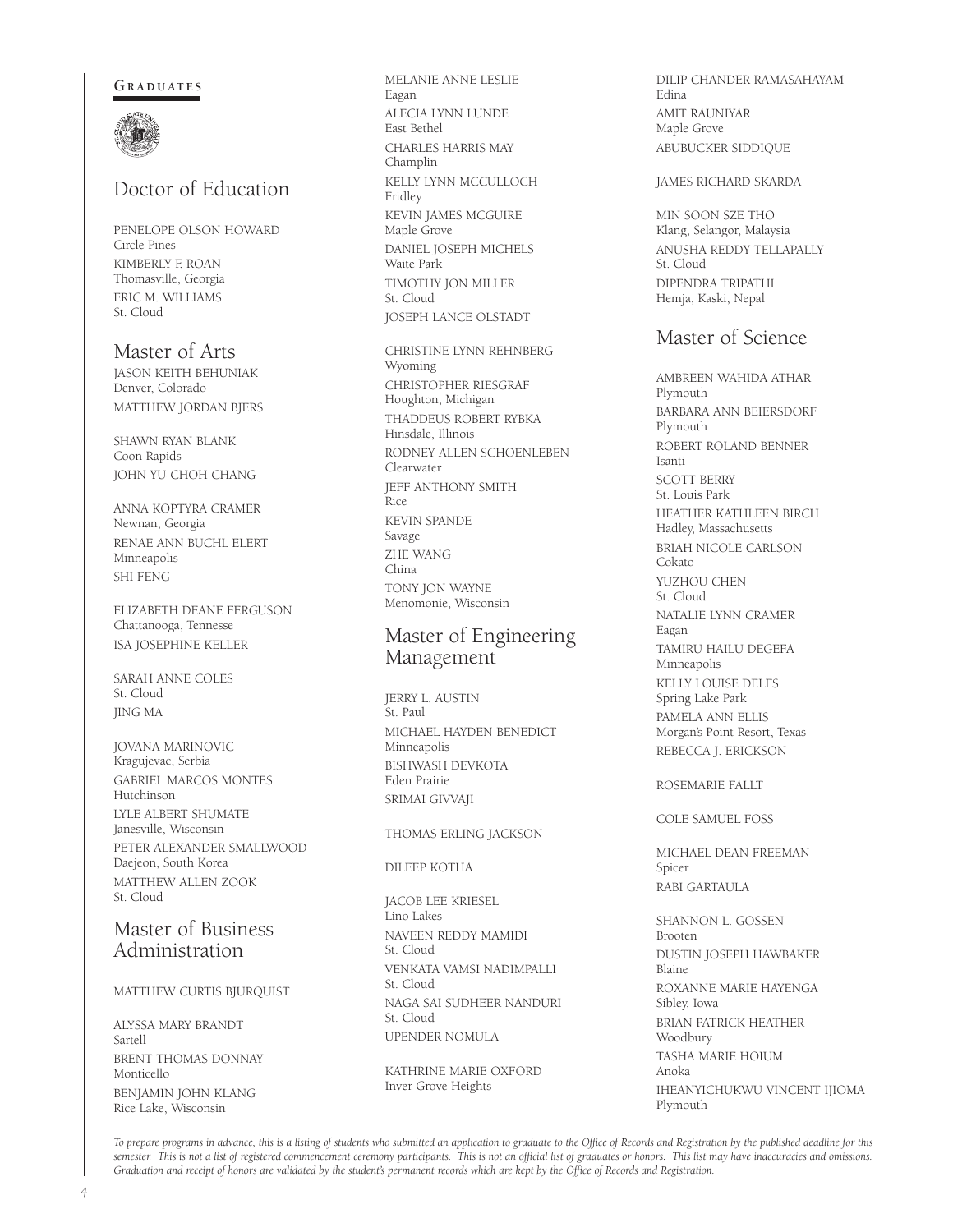#### GRADUATES



## Doctor of Education

PENELOPE OLSON HOWARD Circle Pines KIMBERLY F. ROAN Thomasville, Georgia ERIC M. WILLIAMS St. Cloud

## Master of Arts

JASON KEITH BEHUNIAK Denver, Colorado MATTHEW JORDAN BJERS

SHAWN RYAN BLANK Coon Rapids JOHN YU-CHOH CHANG

ANNA KOPTYRA CRAMER Newnan, Georgia RENAE ANN BUCHL ELERT Minneapolis SHI FENG

ELIZABETH DEANE FERGUSON Chattanooga, Tennesse ISA JOSEPHINE KELLER

SARAH ANNE COLES St. Cloud JING MA

JOVANA MARINOVIC Kragujevac, Serbia GABRIEL MARCOS MONTES Hutchinson LYLE ALBERT SHUMATE Janesville, Wisconsin PETER ALEXANDER SMALLWOOD Daejeon, South Korea MATTHEW ALLEN ZOOK St. Cloud

## Master of Business Administration

#### MATTHEW CURTIS BJURQUIST

ALYSSA MARY BRANDT Sartell BRENT THOMAS DONNAY Monticello BENJAMIN JOHN KLANG Rice Lake, Wisconsin

MELANIE ANNE LESLIE Eagan ALECIA LYNN LUNDE East Bethel CHARLES HARRIS MAY Champlin KELLY LYNN MCCULLOCH Fridley KEVIN JAMES MCGUIRE Maple Grove DANIEL JOSEPH MICHELS Waite Park TIMOTHY JON MILLER St. Cloud JOSEPH LANCE OLSTADT

CHRISTINE LYNN REHNBERG Wyoming CHRISTOPHER RIESGRAF Houghton, Michigan THADDEUS ROBERT RYBKA Hinsdale, Illinois RODNEY ALLEN SCHOENLEBEN Clearwater JEFF ANTHONY SMITH Rice KEVIN SPANDE Savage ZHE WANG China TONY JON WAYNE Menomonie, Wisconsin

## Master of Engineering Management

JERRY L. AUSTIN St. Paul MICHAEL HAYDEN BENEDICT Minneapolis BISHWASH DEVKOTA Eden Prairie SRIMAI GIVVAJI

#### THOMAS ERLING JACKSON

#### DILEEP KOTHA

JACOB LEE KRIESEL Lino Lakes NAVEEN REDDY MAMIDI St. Cloud VENKATA VAMSI NADIMPALLI St. Cloud NAGA SAI SUDHEER NANDURI St. Cloud UPENDER NOMULA

KATHRINE MARIE OXFORD Inver Grove Heights

DILIP CHANDER RAMASAHAYAM Edina AMIT RAUNIYAR Maple Grove ABUBUCKER SIDDIQUE

#### JAMES RICHARD SKARDA

MIN SOON SZE THO Klang, Selangor, Malaysia ANUSHA REDDY TELLAPALLY St. Cloud DIPENDRA TRIPATHI Hemja, Kaski, Nepal

## Master of Science

AMBREEN WAHIDA ATHAR Plymouth BARBARA ANN BEIERSDORF Plymouth ROBERT ROLAND BENNER Isanti SCOTT BERRY St. Louis Park HEATHER KATHLEEN BIRCH Hadley, Massachusetts BRIAH NICOLE CARLSON Cokato YUZHOU CHEN St. Cloud NATALIE LYNN CRAMER Eagan TAMIRU HAILU DEGEFA Minneapolis KELLY LOUISE DELFS Spring Lake Park PAMELA ANN ELLIS Morgan's Point Resort, Texas REBECCA J. ERICKSON

#### ROSEMARIE FALLT

COLE SAMUEL FOSS

MICHAEL DEAN FREEMAN Spicer RABI GARTAULA

SHANNON L. GOSSEN Brooten DUSTIN JOSEPH HAWBAKER Blaine ROXANNE MARIE HAYENGA Sibley, Iowa BRIAN PATRICK HEATHER Woodbury TASHA MARIE HOIUM Anoka IHEANYICHUKWU VINCENT IJIOMA Plymouth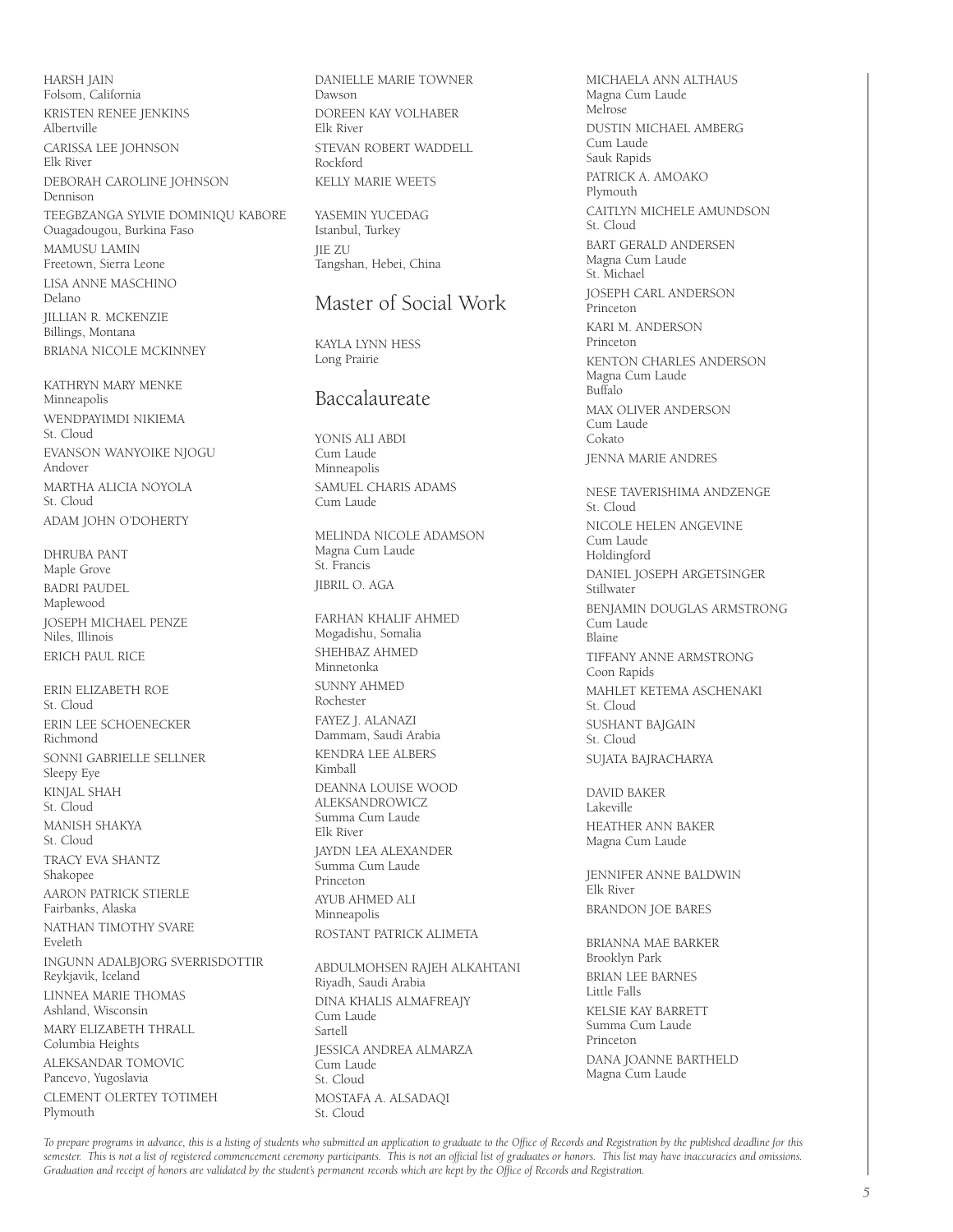HARSH JAIN Folsom, California KRISTEN RENEE JENKINS Albertville CARISSA LEE JOHNSON Elk River DEBORAH CAROLINE JOHNSON Dennison TEEGBZANGA SYLVIE DOMINIQU KABORE Ouagadougou, Burkina Faso MAMUSU LAMIN Freetown, Sierra Leone LISA ANNE MASCHINO Delano JILLIAN R. MCKENZIE

Billings, Montana BRIANA NICOLE MCKINNEY

KATHRYN MARY MENKE Minneapolis WENDPAYIMDI NIKIEMA St. Cloud EVANSON WANYOIKE NJOGU Andover MARTHA ALICIA NOYOLA St. Cloud ADAM JOHN O'DOHERTY

DHRUBA PANT Maple Grove BADRI PAUDEL Maplewood JOSEPH MICHAEL PENZE Niles, Illinois ERICH PAUL RICE

ERIN ELIZABETH ROE St. Cloud ERIN LEE SCHOENECKER Richmond SONNI GABRIELLE SELLNER Sleepy Eye KINJAL SHAH St. Cloud MANISH SHAKYA St. Cloud TRACY EVA SHANTZ Shakopee AARON PATRICK STIERLE Fairbanks, Alaska NATHAN TIMOTHY SVARE Eveleth INGUNN ADALBJORG SVERRISDOTTIR Reykjavik, Iceland LINNEA MARIE THOMAS Ashland, Wisconsin MARY ELIZABETH THRALL Columbia Heights ALEKSANDAR TOMOVIC Pancevo, Yugoslavia CLEMENT OLERTEY TOTIMEH Plymouth

DANIELLE MARIE TOWNER Dawson DOREEN KAY VOLHABER Elk River STEVAN ROBERT WADDELL Rockford KELLY MARIE WEETS

YASEMIN YUCEDAG Istanbul, Turkey JIE ZU Tangshan, Hebei, China

## Master of Social Work

KAYLA LYNN HESS Long Prairie

## Baccalaureate

YONIS ALI ABDI Cum Laude Minneapolis SAMUEL CHARIS ADAMS Cum Laude

MELINDA NICOLE ADAMSON Magna Cum Laude St. Francis JIBRIL O. AGA

FARHAN KHALIF AHMED Mogadishu, Somalia SHEHBAZ AHMED Minnetonka SUNNY AHMED Rochester FAYEZ J. ALANAZI Dammam, Saudi Arabia KENDRA LEE ALBERS Kimball DEANNA LOUISE WOOD ALEKSANDROWICZ Summa Cum Laude Elk River JAYDN LEA ALEXANDER Summa Cum Laude Princeton AYUB AHMED ALI Minneapolis ROSTANT PATRICK ALIMETA

ABDULMOHSEN RAJEH ALKAHTANI Riyadh, Saudi Arabia DINA KHALIS ALMAFREAJY Cum Laude Sartell JESSICA ANDREA ALMARZA Cum Laude St. Cloud MOSTAFA A. ALSADAQI St. Cloud

MICHAELA ANN ALTHAUS Magna Cum Laude Melrose DUSTIN MICHAEL AMBERG Cum Laude Sauk Rapids PATRICK A. AMOAKO Plymouth CAITLYN MICHELE AMUNDSON St. Cloud BART GERALD ANDERSEN Magna Cum Laude St. Michael JOSEPH CARL ANDERSON Princeton KARI M. ANDERSON Princeton KENTON CHARLES ANDERSON Magna Cum Laude Buffalo MAX OLIVER ANDERSON Cum Laude Cokato JENNA MARIE ANDRES NESE TAVERISHIMA ANDZENGE St. Cloud NICOLE HELEN ANGEVINE Cum Laude Holdingford DANIEL JOSEPH ARGETSINGER **Stillwater** BENJAMIN DOUGLAS ARMSTRONG

Cum Laude Blaine TIFFANY ANNE ARMSTRONG Coon Rapids MAHLET KETEMA ASCHENAKI St. Cloud SUSHANT BAJGAIN St. Cloud SUJATA BAJRACHARYA

DAVID BAKER Lakeville HEATHER ANN BAKER Magna Cum Laude

JENNIFER ANNE BALDWIN Elk River BRANDON JOE BARES

BRIANNA MAE BARKER Brooklyn Park BRIAN LEE BARNES Little Falls KELSIE KAY BARRETT Summa Cum Laude Princeton DANA JOANNE BARTHELD Magna Cum Laude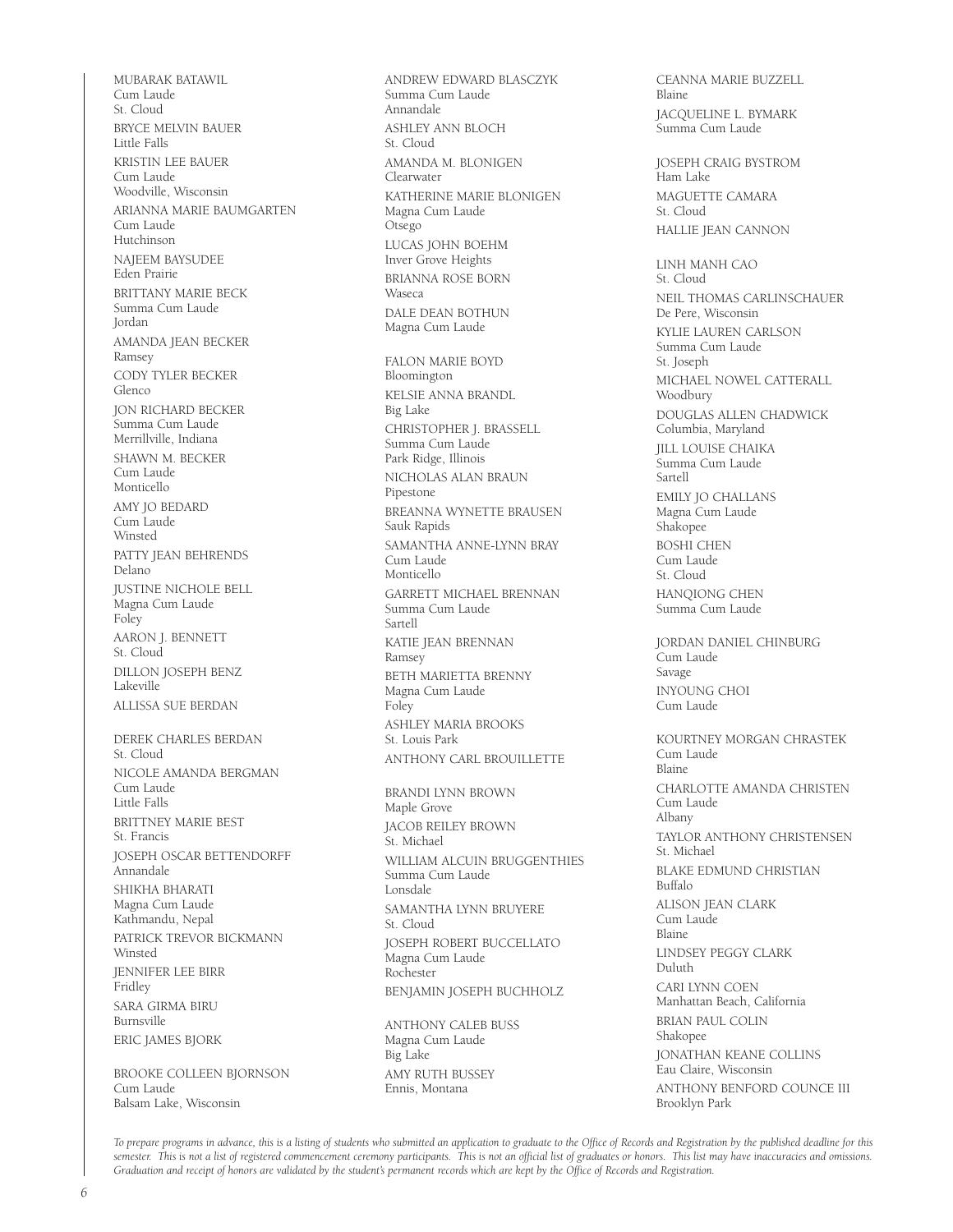MUBARAK BATAWIL Cum Laude St. Cloud BRYCE MELVIN BAUER Little Falls KRISTIN LEE BAUER Cum Laude Woodville, Wisconsin ARIANNA MARIE BAUMGARTEN Cum Laude Hutchinson NAJEEM BAYSUDEE Eden Prairie BRITTANY MARIE BECK Summa Cum Laude Jordan AMANDA JEAN BECKER Ramsey CODY TYLER BECKER Glenco JON RICHARD BECKER Summa Cum Laude Merrillville, Indiana SHAWN M. BECKER Cum Laude Monticello AMY JO BEDARD Cum Laude **Winsted** PATTY JEAN BEHRENDS Delano JUSTINE NICHOLE BELL Magna Cum Laude Foley AARON J. BENNETT St. Cloud DILLON JOSEPH BENZ Lakeville ALLISSA SUE BERDAN DEREK CHARLES BERDAN St. Cloud NICOLE AMANDA BERGMAN Cum Laude Little Falls BRITTNEY MARIE BEST St. Francis JOSEPH OSCAR BETTENDORFF Annandale SHIKHA BHARATI Magna Cum Laude Kathmandu, Nepal PATRICK TREVOR BICKMANN Winsted JENNIFER LEE BIRR Fridley SARA GIRMA BIRU Burnsville ERIC JAMES BJORK

BROOKE COLLEEN BJORNSON Cum Laude Balsam Lake, Wisconsin

ANDREW EDWARD BLASCZYK Summa Cum Laude Annandale ASHLEY ANN BLOCH St. Cloud AMANDA M. BLONIGEN Clearwater KATHERINE MARIE BLONIGEN Magna Cum Laude Otsego LUCAS JOHN BOEHM Inver Grove Heights BRIANNA ROSE BORN Waseca DALE DEAN BOTHUN Magna Cum Laude FALON MARIE BOYD Bloomington KELSIE ANNA BRANDL Big Lake CHRISTOPHER J. BRASSELL Summa Cum Laude Park Ridge, Illinois NICHOLAS ALAN BRAUN Pipestone BREANNA WYNETTE BRAUSEN Sauk Rapids SAMANTHA ANNE-LYNN BRAY Cum Laude Monticello GARRETT MICHAEL BRENNAN Summa Cum Laude Sartell KATIE JEAN BRENNAN Ramsey BETH MARIETTA BRENNY Magna Cum Laude Foley ASHLEY MARIA BROOKS St. Louis Park ANTHONY CARL BROUILLETTE BRANDI LYNN BROWN Maple Grove JACOB REILEY BROWN St. Michael WILLIAM ALCUIN BRUGGENTHIES Summa Cum Laude Lonsdale SAMANTHA LYNN BRUYERE St. Cloud JOSEPH ROBERT BUCCELLATO Magna Cum Laude Rochester BENJAMIN JOSEPH BUCHHOLZ ANTHONY CALEB BUSS

Magna Cum Laude Big Lake AMY RUTH BUSSEY Ennis, Montana

Summa Cum Laude JOSEPH CRAIG BYSTROM Ham Lake MAGUETTE CAMARA St. Cloud HALLIE JEAN CANNON LINH MANH CAO St. Cloud NEIL THOMAS CARLINSCHAUER De Pere, Wisconsin KYLIE LAUREN CARLSON Summa Cum Laude St. Joseph MICHAEL NOWEL CATTERALL Woodbury DOUGLAS ALLEN CHADWICK Columbia, Maryland JILL LOUISE CHAIKA Summa Cum Laude Sartell EMILY JO CHALLANS Magna Cum Laude Shakopee BOSHI CHEN Cum Laude St. Cloud HANQIONG CHEN Summa Cum Laude JORDAN DANIEL CHINBURG Cum Laude Savage INYOUNG CHOI Cum Laude KOURTNEY MORGAN CHRASTEK Cum Laude Blaine CHARLOTTE AMANDA CHRISTEN Cum Laude Albany TAYLOR ANTHONY CHRISTENSEN St. Michael BLAKE EDMUND CHRISTIAN Buffalo ALISON JEAN CLARK Cum Laude Blaine LINDSEY PEGGY CLARK Duluth CARI LYNN COEN Manhattan Beach, California BRIAN PAUL COLIN Shakopee JONATHAN KEANE COLLINS Eau Claire, Wisconsin

CEANNA MARIE BUZZELL

JACQUELINE L. BYMARK

Blaine

ANTHONY BENFORD COUNCE III Brooklyn Park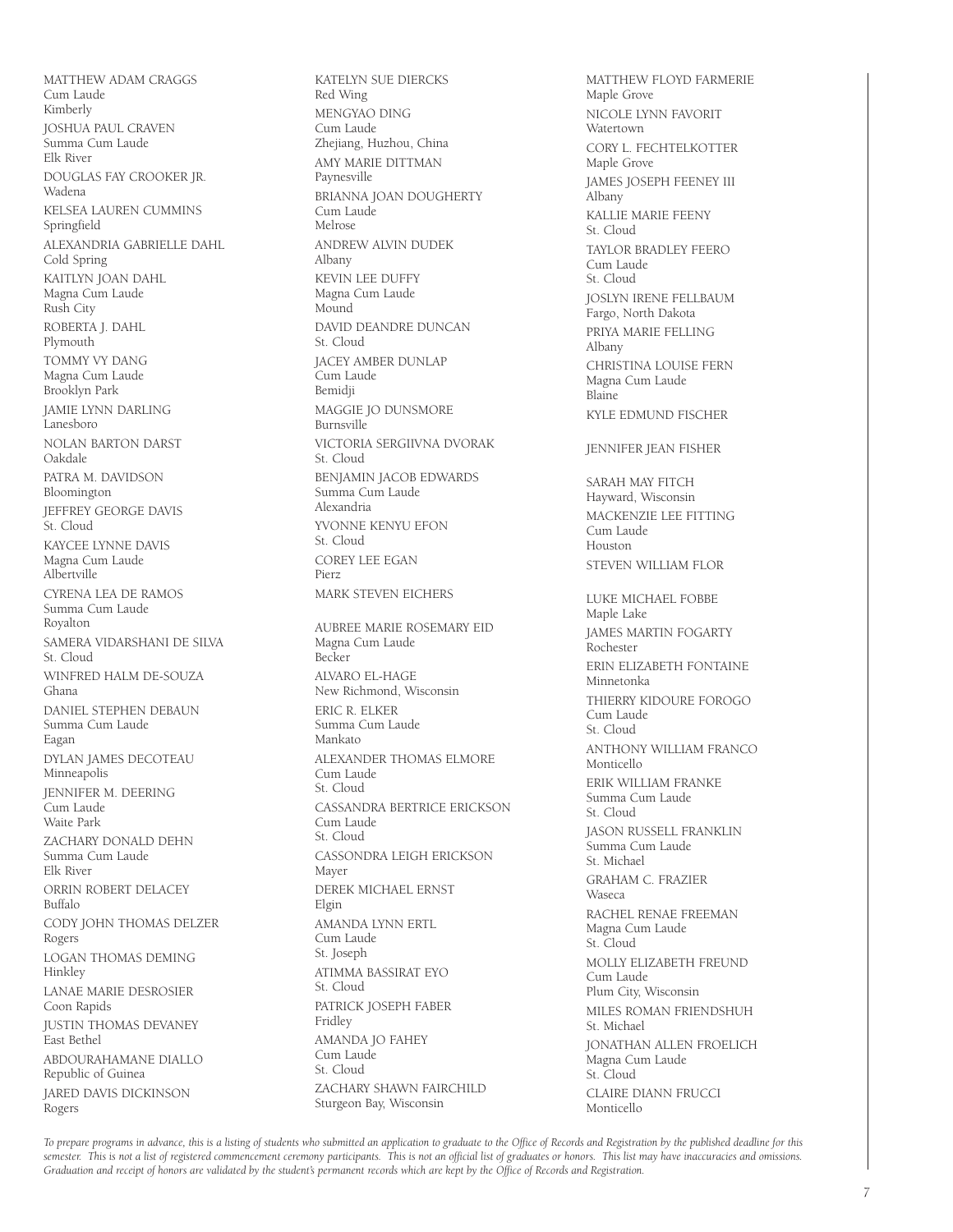MATTHEW ADAM CRAGGS Cum Laude Kimberly JOSHUA PAUL CRAVEN Summa Cum Laude Elk River DOUGLAS FAY CROOKER JR. Wadena KELSEA LAUREN CUMMINS Springfield ALEXANDRIA GABRIELLE DAHL Cold Spring KAITLYN JOAN DAHL Magna Cum Laude Rush City ROBERTA J. DAHL Plymouth TOMMY VY DANG Magna Cum Laude Brooklyn Park JAMIE LYNN DARLING Lanesboro NOLAN BARTON DARST Oakdale PATRA M. DAVIDSON Bloomington JEFFREY GEORGE DAVIS St. Cloud KAYCEE LYNNE DAVIS Magna Cum Laude Albertville CYRENA LEA DE RAMOS Summa Cum Laude Royalton SAMERA VIDARSHANI DE SILVA St. Cloud WINFRED HALM DE-SOUZA Ghana DANIEL STEPHEN DEBAUN Summa Cum Laude Eagan DYLAN JAMES DECOTEAU Minneapolis JENNIFER M. DEERING Cum Laude Waite Park ZACHARY DONALD DEHN Summa Cum Laude Elk River ORRIN ROBERT DELACEY Buffalo CODY JOHN THOMAS DELZER Rogers LOGAN THOMAS DEMING Hinkley LANAE MARIE DESROSIER Coon Rapids JUSTIN THOMAS DEVANEY East Bethel ABDOURAHAMANE DIALLO Republic of Guinea JARED DAVIS DICKINSON Rogers

KATELYN SUE DIERCKS Red Wing MENGYAO DING Cum Laude Zhejiang, Huzhou, China AMY MARIE DITTMAN Paynesville BRIANNA JOAN DOUGHERTY Cum Laude Melrose ANDREW ALVIN DUDEK Albany KEVIN LEE DUFFY Magna Cum Laude Mound DAVID DEANDRE DUNCAN St. Cloud JACEY AMBER DUNLAP Cum Laude Bemidji MAGGIE JO DUNSMORE Burnsville VICTORIA SERGIIVNA DVORAK St. Cloud BENJAMIN JACOB EDWARDS Summa Cum Laude Alexandria YVONNE KENYU EFON St. Cloud COREY LEE EGAN Pierz MARK STEVEN EICHERS AUBREE MARIE ROSEMARY EID Magna Cum Laude Becker ALVARO EL-HAGE New Richmond, Wisconsin ERIC R. ELKER Summa Cum Laude Mankato ALEXANDER THOMAS ELMORE Cum Laude St. Cloud CASSANDRA BERTRICE ERICKSON Cum Laude St. Cloud CASSONDRA LEIGH ERICKSON Mayer DEREK MICHAEL ERNST Elgin AMANDA LYNN ERTL Cum Laude St. Joseph ATIMMA BASSIRAT EYO St. Cloud PATRICK JOSEPH FABER Fridley AMANDA JO FAHEY Cum Laude St. Cloud ZACHARY SHAWN FAIRCHILD Sturgeon Bay, Wisconsin

MATTHEW FLOYD FARMERIE Maple Grove NICOLE LYNN FAVORIT Watertown CORY L. FECHTELKOTTER Maple Grove JAMES JOSEPH FEENEY III Albany KALLIE MARIE FEENY St. Cloud TAYLOR BRADLEY FEERO Cum Laude St. Cloud JOSLYN IRENE FELLBAUM Fargo, North Dakota PRIYA MARIE FELLING Albany CHRISTINA LOUISE FERN Magna Cum Laude Blaine KYLE EDMUND FISCHER JENNIFER JEAN FISHER SARAH MAY FITCH Hayward, Wisconsin MACKENZIE LEE FITTING Cum Laude Houston STEVEN WILLIAM FLOR LUKE MICHAEL FOBBE Maple Lake JAMES MARTIN FOGARTY Rochester ERIN ELIZABETH FONTAINE Minnetonka THIERRY KIDOURE FOROGO Cum Laude St. Cloud ANTHONY WILLIAM FRANCO Monticello ERIK WILLIAM FRANKE Summa Cum Laude St. Cloud JASON RUSSELL FRANKLIN Summa Cum Laude St. Michael GRAHAM C. FRAZIER Waseca RACHEL RENAE FREEMAN Magna Cum Laude St. Cloud MOLLY ELIZABETH FREUND Cum Laude Plum City, Wisconsin MILES ROMAN FRIENDSHUH St. Michael JONATHAN ALLEN FROELICH Magna Cum Laude St. Cloud CLAIRE DIANN FRUCCI Monticello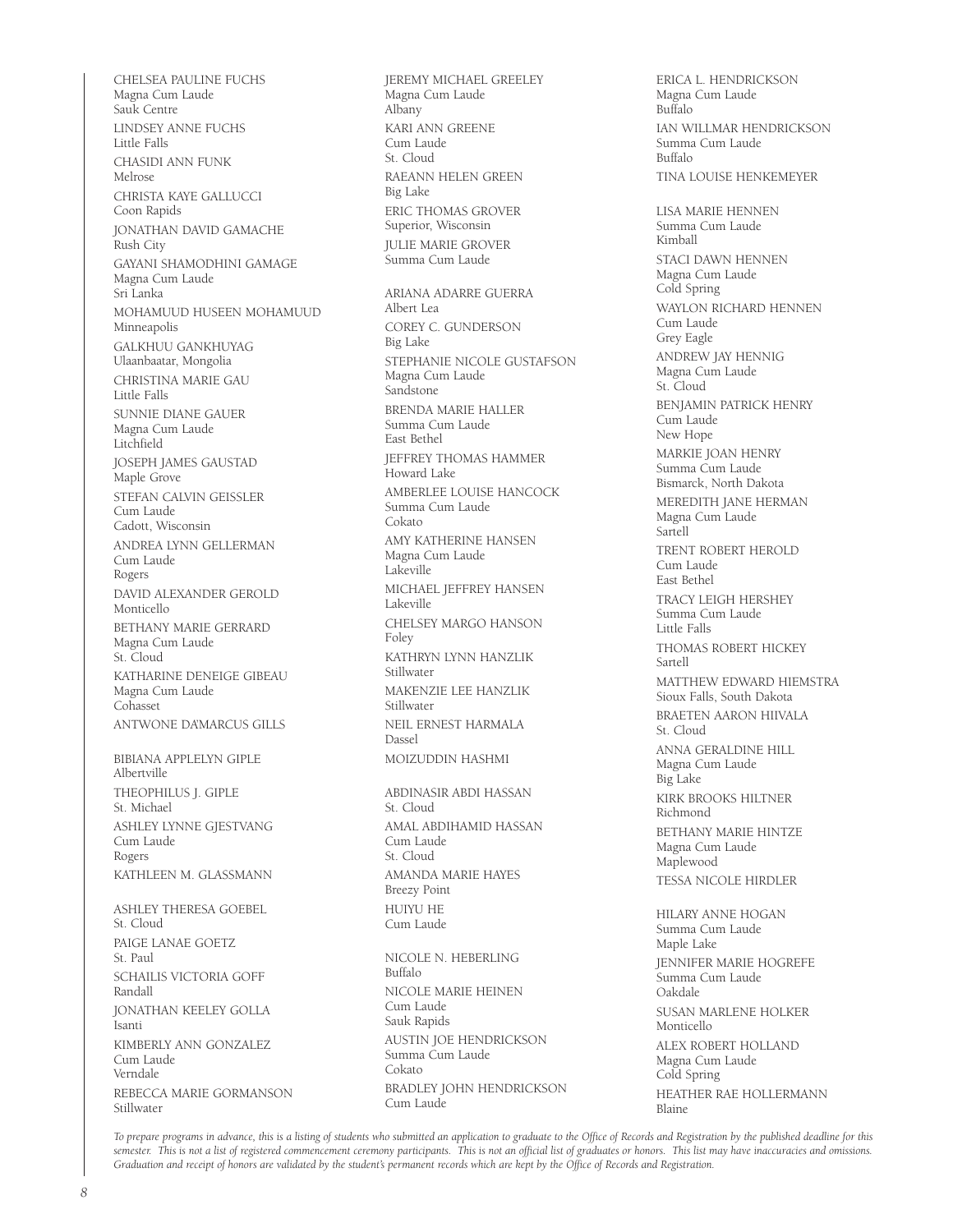CHELSEA PAULINE FUCHS Magna Cum Laude Sauk Centre LINDSEY ANNE FUCHS Little Falls CHASIDI ANN FUNK Melrose CHRISTA KAYE GALLUCCI Coon Rapids JONATHAN DAVID GAMACHE Rush City GAYANI SHAMODHINI GAMAGE Magna Cum Laude Sri Lanka MOHAMUUD HUSEEN MOHAMUUD Minneapolis GALKHUU GANKHUYAG Ulaanbaatar, Mongolia CHRISTINA MARIE GAU Little Falls SUNNIE DIANE GAUER Magna Cum Laude Litchfield JOSEPH JAMES GAUSTAD Maple Grove STEFAN CALVIN GEISSLER Cum Laude Cadott, Wisconsin ANDREA LYNN GELLERMAN Cum Laude Rogers DAVID ALEXANDER GEROLD Monticello BETHANY MARIE GERRARD Magna Cum Laude St. Cloud KATHARINE DENEIGE GIBEAU Magna Cum Laude Cohasset ANTWONE DA'MARCUS GILLS BIBIANA APPLELYN GIPLE Albertville THEOPHILUS J. GIPLE St. Michael ASHLEY LYNNE GJESTVANG Cum Laude Rogers KATHLEEN M. GLASSMANN ASHLEY THERESA GOEBEL St. Cloud PAIGE LANAE GOETZ St. Paul SCHAILIS VICTORIA GOFF Randall JONATHAN KEELEY GOLLA Isanti KIMBERLY ANN GONZALEZ Cum Laude Verndale REBECCA MARIE GORMANSON

JEREMY MICHAEL GREELEY Magna Cum Laude Albany KARI ANN GREENE Cum Laude St. Cloud RAEANN HELEN GREEN Big Lake ERIC THOMAS GROVER Superior, Wisconsin JULIE MARIE GROVER Summa Cum Laude ARIANA ADARRE GUERRA Albert Lea COREY C. GUNDERSON Big Lake STEPHANIE NICOLE GUSTAFSON Magna Cum Laude Sandstone BRENDA MARIE HALLER Summa Cum Laude East Bethel JEFFREY THOMAS HAMMER Howard Lake AMBERLEE LOUISE HANCOCK Summa Cum Laude Cokato AMY KATHERINE HANSEN Magna Cum Laude Lakeville MICHAEL JEFFREY HANSEN Lakeville CHELSEY MARGO HANSON Foley KATHRYN LYNN HANZLIK Stillwater MAKENZIE LEE HANZLIK Stillwater NEIL ERNEST HARMALA Dassel MOIZUDDIN HASHMI ABDINASIR ABDI HASSAN St. Cloud AMAL ABDIHAMID HASSAN Cum Laude St. Cloud AMANDA MARIE HAYES Breezy Point HUIYU HE Cum Laude NICOLE N. HEBERLING Buffalo NICOLE MARIE HEINEN Cum Laude Sauk Rapids AUSTIN JOE HENDRICKSON Summa Cum Laude

ERICA L. HENDRICKSON Magna Cum Laude Buffalo IAN WILLMAR HENDRICKSON Summa Cum Laude Buffalo TINA LOUISE HENKEMEYER LISA MARIE HENNEN Summa Cum Laude Kimball STACI DAWN HENNEN Magna Cum Laude Cold Spring WAYLON RICHARD HENNEN Cum Laude Grey Eagle ANDREW JAY HENNIG Magna Cum Laude St. Cloud BENJAMIN PATRICK HENRY Cum Laude New Hope MARKIE JOAN HENRY Summa Cum Laude Bismarck, North Dakota MEREDITH JANE HERMAN Magna Cum Laude Sartell TRENT ROBERT HEROLD Cum Laude East Bethel TRACY LEIGH HERSHEY Summa Cum Laude Little Falls THOMAS ROBERT HICKEY Sartell MATTHEW EDWARD HIEMSTRA Sioux Falls, South Dakota BRAETEN AARON HIIVALA St. Cloud ANNA GERALDINE HILL Magna Cum Laude Big Lake KIRK BROOKS HILTNER Richmond BETHANY MARIE HINTZE Magna Cum Laude Maplewood TESSA NICOLE HIRDLER HILARY ANNE HOGAN Summa Cum Laude Maple Lake JENNIFER MARIE HOGREFE Summa Cum Laude Oakdale SUSAN MARLENE HOLKER Monticello ALEX ROBERT HOLLAND Magna Cum Laude Cold Spring HEATHER RAE HOLLERMANN Blaine

*To prepare programs in advance, this is a listing of students who submitted an application to graduate to the Office of Records and Registration by the published deadline for this semester. This is not a list of registered commencement ceremony participants. This is not an official list of graduates or honors. This list may have inaccuracies and omissions. Graduation and receipt of honors are validated by the student's permanent records which are kept by the Office of Records and Registration.*

BRADLEY JOHN HENDRICKSON

Cokato

Cum Laude

Stillwater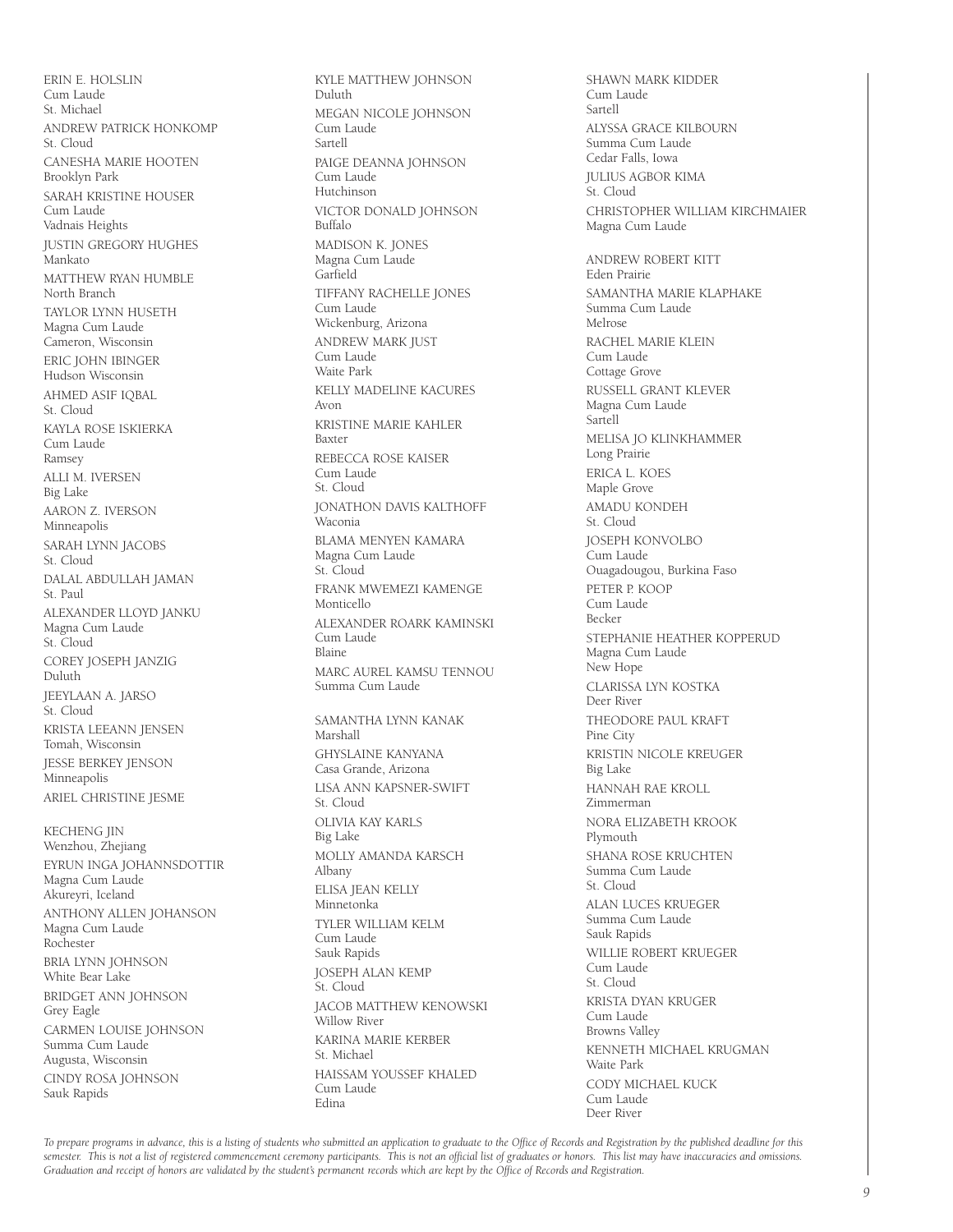ERIN E. HOLSLIN Cum Laude St. Michael ANDREW PATRICK HONKOMP St. Cloud CANESHA MARIE HOOTEN Brooklyn Park SARAH KRISTINE HOUSER Cum Laude Vadnais Heights JUSTIN GREGORY HUGHES Mankato MATTHEW RYAN HUMBLE North Branch TAYLOR LYNN HUSETH Magna Cum Laude Cameron, Wisconsin ERIC JOHN IBINGER Hudson Wisconsin AHMED ASIF IQBAL St. Cloud KAYLA ROSE ISKIERKA Cum Laude Ramsey ALLI M. IVERSEN Big Lake AARON Z. IVERSON Minneapolis SARAH LYNN JACOBS St. Cloud DALAL ABDULLAH JAMAN St. Paul ALEXANDER LLOYD JANKU Magna Cum Laude St. Cloud COREY JOSEPH JANZIG Duluth JEEYLAAN A. JARSO St. Cloud KRISTA LEEANN JENSEN Tomah, Wisconsin JESSE BERKEY JENSON Minneapolis ARIEL CHRISTINE JESME KECHENG JIN Wenzhou, Zhejiang EYRUN INGA JOHANNSDOTTIR Magna Cum Laude Akureyri, Iceland ANTHONY ALLEN JOHANSON Magna Cum Laude Rochester BRIA LYNN JOHNSON White Bear Lake

BRIDGET ANN JOHNSON Grey Eagle CARMEN LOUISE JOHNSON Summa Cum Laude Augusta, Wisconsin CINDY ROSA JOHNSON Sauk Rapids

Duluth MEGAN NICOLE JOHNSON Cum Laude Sartell PAIGE DEANNA JOHNSON Cum Laude Hutchinson VICTOR DONALD JOHNSON Buffalo MADISON K. JONES Magna Cum Laude Garfield TIFFANY RACHELLE JONES Cum Laude Wickenburg, Arizona ANDREW MARK JUST Cum Laude Waite Park KELLY MADELINE KACURES Avon KRISTINE MARIE KAHLER Baxter REBECCA ROSE KAISER Cum Laude St. Cloud JONATHON DAVIS KALTHOFF Waconia BLAMA MENYEN KAMARA Magna Cum Laude St. Cloud FRANK MWEMEZI KAMENGE Monticello ALEXANDER ROARK KAMINSKI Cum Laude Blaine MARC AUREL KAMSU TENNOU Summa Cum Laude SAMANTHA LYNN KANAK Marshall GHYSLAINE KANYANA Casa Grande, Arizona LISA ANN KAPSNER-SWIFT St. Cloud OLIVIA KAY KARLS Big Lake MOLLY AMANDA KARSCH Albany ELISA JEAN KELLY Minnetonka TYLER WILLIAM KELM Cum Laude Sauk Rapids JOSEPH ALAN KEMP St. Cloud JACOB MATTHEW KENOWSKI Willow River KARINA MARIE KERBER St. Michael HAISSAM YOUSSEF KHALED Cum Laude

KYLE MATTHEW JOHNSON

SHAWN MARK KIDDER Cum Laude Sartell ALYSSA GRACE KILBOURN Summa Cum Laude Cedar Falls, Iowa JULIUS AGBOR KIMA St. Cloud CHRISTOPHER WILLIAM KIRCHMAIER Magna Cum Laude ANDREW ROBERT KITT Eden Prairie SAMANTHA MARIE KLAPHAKE Summa Cum Laude Melrose RACHEL MARIE KLEIN Cum Laude Cottage Grove RUSSELL GRANT KLEVER Magna Cum Laude Sartell MELISA JO KLINKHAMMER Long Prairie ERICA L. KOES Maple Grove AMADU KONDEH St. Cloud JOSEPH KONVOLBO **Cum Laude** Ouagadougou, Burkina Faso PETER P. KOOP Cum Laude Becker STEPHANIE HEATHER KOPPERUD Magna Cum Laude New Hope CLARISSA LYN KOSTKA Deer River THEODORE PAUL KRAFT Pine City KRISTIN NICOLE KREUGER Big Lake HANNAH RAE KROLL Zimmerman NORA ELIZABETH KROOK Plymouth SHANA ROSE KRUCHTEN Summa Cum Laude St. Cloud ALAN LUCES KRUEGER Summa Cum Laude Sauk Rapids WILLIE ROBERT KRUEGER Cum Laude St. Cloud KRISTA DYAN KRUGER Cum Laude Browns Valley KENNETH MICHAEL KRUGMAN Waite Park CODY MICHAEL KUCK Cum Laude Deer River

*To prepare programs in advance, this is a listing of students who submitted an application to graduate to the Office of Records and Registration by the published deadline for this semester. This is not a list of registered commencement ceremony participants. This is not an official list of graduates or honors. This list may have inaccuracies and omissions. Graduation and receipt of honors are validated by the student's permanent records which are kept by the Office of Records and Registration.*

Edina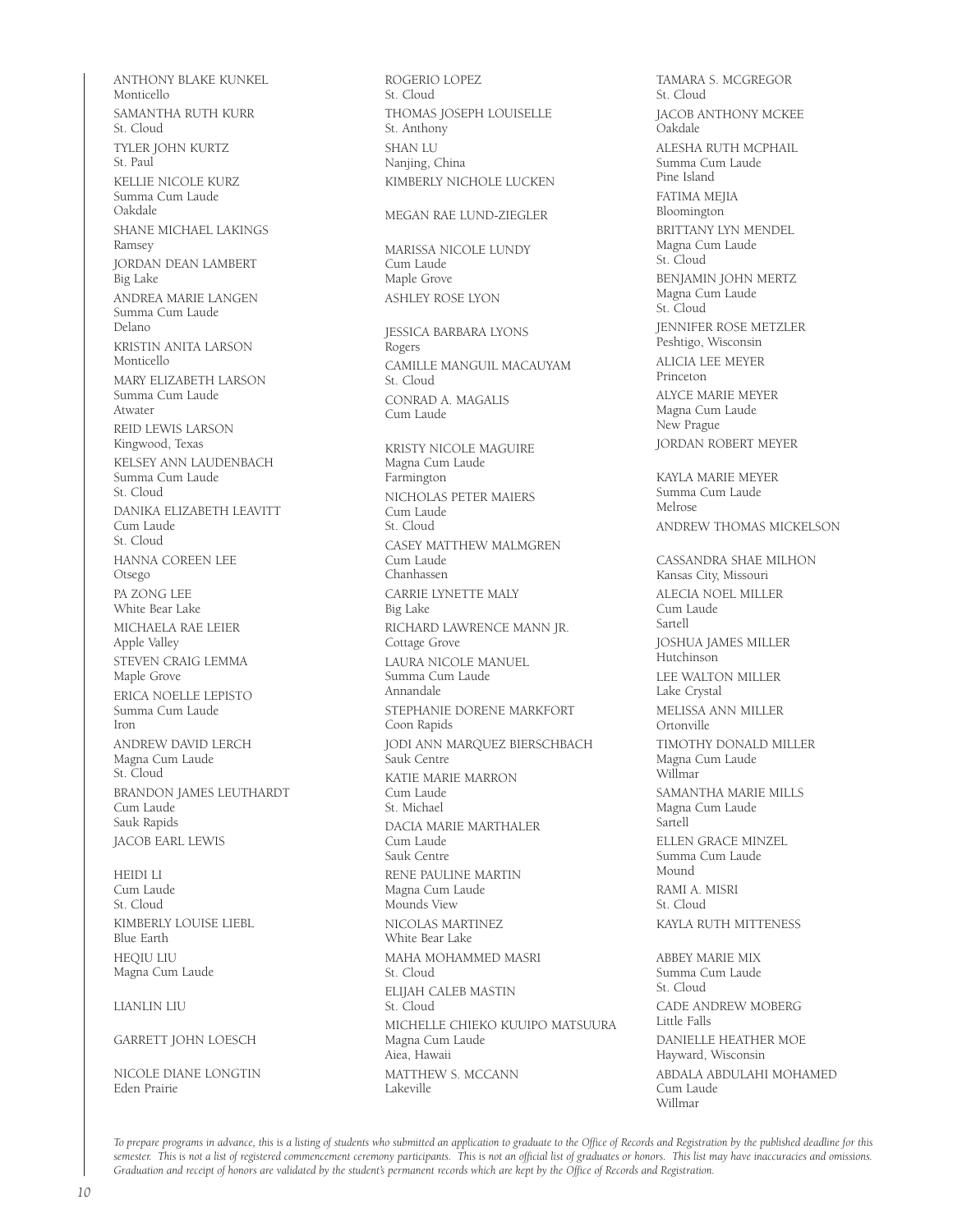ANTHONY BLAKE KUNKEL Monticello SAMANTHA RUTH KURR St. Cloud TYLER JOHN KURTZ St. Paul KELLIE NICOLE KURZ Summa Cum Laude Oakdale SHANE MICHAEL LAKINGS Ramsey JORDAN DEAN LAMBERT Big Lake ANDREA MARIE LANGEN Summa Cum Laude Delano KRISTIN ANITA LARSON Monticello MARY ELIZABETH LARSON Summa Cum Laude Atwater REID LEWIS LARSON Kingwood, Texas KFI SEY ANN LAUDENBACH Summa Cum Laude St. Cloud DANIKA ELIZABETH LEAVITT Cum Laude St. Cloud HANNA COREEN LEE Otsego PA ZONG LEE White Bear Lake MICHAELA RAE LEIER Apple Valley STEVEN CRAIG LEMMA Maple Grove ERICA NOELLE LEPISTO Summa Cum Laude Iron ANDREW DAVID LERCH Magna Cum Laude St. Cloud BRANDON JAMES LEUTHARDT Cum Laude Sauk Rapids JACOB EARL LEWIS

HEIDI LI Cum Laude St. Cloud KIMBERLY LOUISE LIEBL Blue Earth HEQIU LIU Magna Cum Laude

#### LIANLIN LIU

GARRETT JOHN LOESCH

NICOLE DIANE LONGTIN Eden Prairie

ROGERIO LOPEZ St. Cloud THOMAS JOSEPH LOUISELLE St. Anthony SHAN LU Nanjing, China KIMBERLY NICHOLE LUCKEN

#### MEGAN RAE LUND-ZIEGLER

MARISSA NICOLE LUNDY Cum Laude Maple Grove ASHLEY ROSE LYON

JESSICA BARBARA LYONS Rogers CAMILLE MANGUIL MACAUYAM St. Cloud CONRAD A. MAGALIS Cum Laude

KRISTY NICOLE MAGUIRE Magna Cum Laude Farmington NICHOLAS PETER MAIERS Cum Laude St. Cloud CASEY MATTHEW MALMGREN Cum Laude Chanhassen CARRIE LYNETTE MALY Big Lake RICHARD LAWRENCE MANN JR. Cottage Grove LAURA NICOLE MANUEL Summa Cum Laude Annandale STEPHANIE DORENE MARKFORT Coon Rapids JODI ANN MARQUEZ BIERSCHBACH Sauk Centre KATIE MARIE MARRON Cum Laude St. Michael DACIA MARIE MARTHALER Cum Laude Sauk Centre RENE PAULINE MARTIN Magna Cum Laude Mounds View NICOLAS MARTINEZ White Bear Lake MAHA MOHAMMED MASRI St. Cloud ELIJAH CALEB MASTIN St. Cloud MICHELLE CHIEKO KUUIPO MATSUURA Magna Cum Laude Aiea, Hawaii MATTHEW S. MCCANN Lakeville

TAMARA S. MCGREGOR St. Cloud JACOB ANTHONY MCKEE Oakdale ALESHA RUTH MCPHAIL Summa Cum Laude Pine Island FATIMA MEJIA Bloomington BRITTANY LYN MENDEL Magna Cum Laude St. Cloud BENJAMIN JOHN MERTZ Magna Cum Laude St. Cloud JENNIFER ROSE METZLER Peshtigo, Wisconsin ALICIA LEE MEYER Princeton ALYCE MARIE MEYER Magna Cum Laude New Prague JORDAN ROBERT MEYER KAYLA MARIE MEYER Summa Cum Laude Melrose ANDREW THOMAS MICKELSON CASSANDRA SHAE MILHON Kansas City, Missouri ALECIA NOEL MILLER Cum Laude Sartell JOSHUA JAMES MILLER Hutchinson LEE WALTON MILLER Lake Crystal MELISSA ANN MILLER Ortonville TIMOTHY DONALD MILLER Magna Cum Laude Willmar SAMANTHA MARIE MILLS Magna Cum Laude Sartell ELLEN GRACE MINZEL Summa Cum Laude Mound RAMI A. MISRI St. Cloud KAYLA RUTH MITTENESS ABBEY MARIE MIX Summa Cum Laude St. Cloud CADE ANDREW MOBERG Little Falls DANIELLE HEATHER MOE Hayward, Wisconsin ABDALA ABDULAHI MOHAMED Cum Laude

Willmar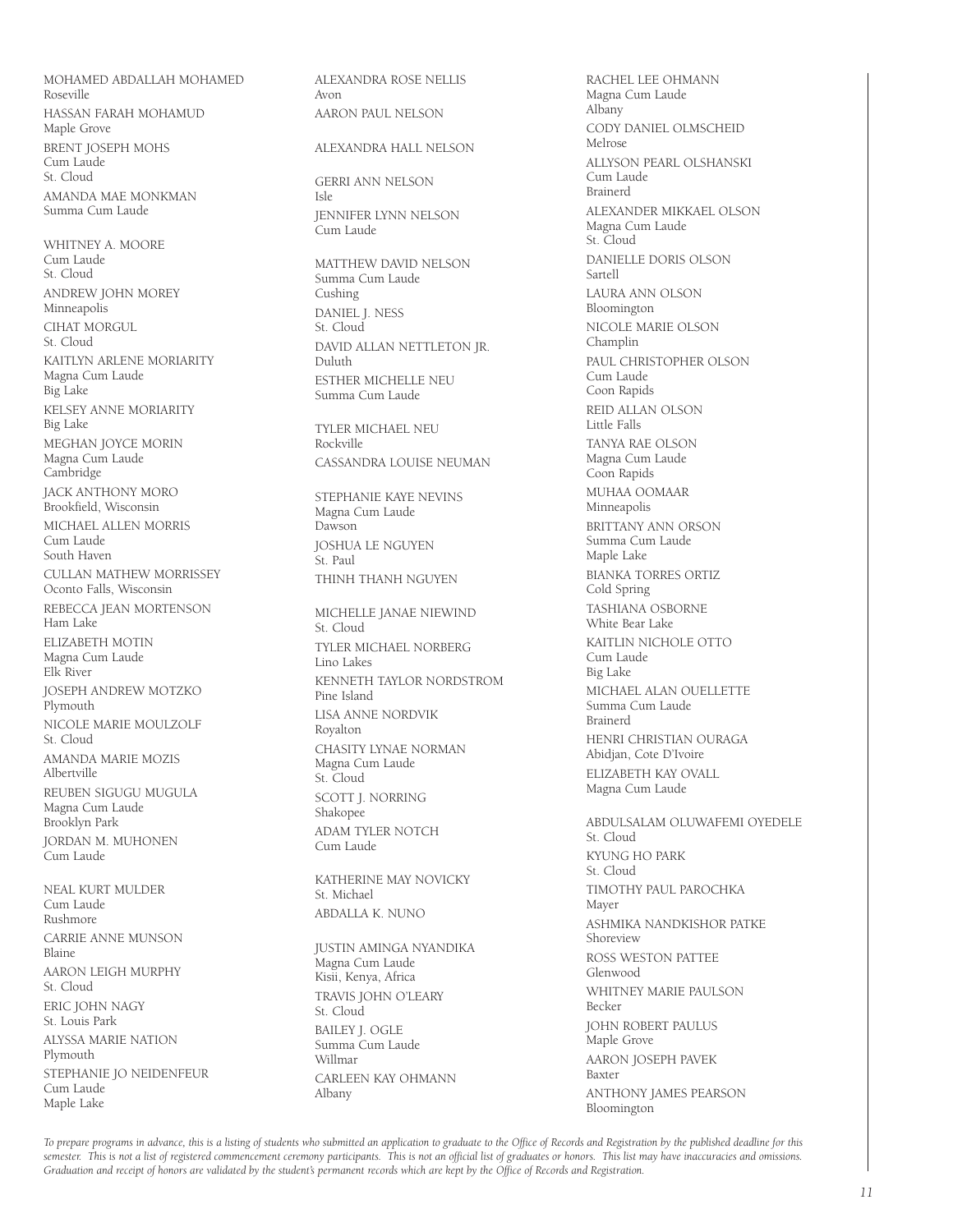MOHAMED ABDALLAH MOHAMED Roseville HASSAN FARAH MOHAMUD Maple Grove BRENT JOSEPH MOHS Cum Laude St. Cloud AMANDA MAE MONKMAN Summa Cum Laude

WHITNEY A. MOORE Cum Laude St. Cloud ANDREW JOHN MOREY Minneapolis CIHAT MORGUL St. Cloud KAITLYN ARLENE MORIARITY Magna Cum Laude Big Lake KELSEY ANNE MORIARITY Big Lake MEGHAN JOYCE MORIN Magna Cum Laude Cambridge JACK ANTHONY MORO Brookfield, Wisconsin MICHAEL ALLEN MORRIS Cum Laude South Haven CULLAN MATHEW MORRISSEY Oconto Falls, Wisconsin REBECCA JEAN MORTENSON Ham Lake ELIZABETH MOTIN Magna Cum Laude Elk River JOSEPH ANDREW MOTZKO Plymouth NICOLE MARIE MOULZOLF St. Cloud AMANDA MARIE MOZIS Albertville REUBEN SIGUGU MUGULA Magna Cum Laude Brooklyn Park JORDAN M. MUHONEN .<br>Cum Laude

NEAL KURT MULDER Cum Laude Rushmore CARRIE ANNE MUNSON Blaine AARON LEIGH MURPHY St. Cloud ERIC JOHN NAGY St. Louis Park ALYSSA MARIE NATION Plymouth STEPHANIE JO NEIDENFEUR Cum Laude Maple Lake

ALEXANDRA ROSE NELLIS Avon AARON PAUL NELSON

#### ALEXANDRA HALL NELSON

GERRI ANN NELSON Isle JENNIFER LYNN NELSON Cum Laude

MATTHEW DAVID NELSON Summa Cum Laude Cushing DANIEL J. NESS St. Cloud DAVID ALLAN NETTLETON JR. Duluth ESTHER MICHELLE NEU Summa Cum Laude

TYLER MICHAEL NEU Rockville CASSANDRA LOUISE NEUMAN

STEPHANIE KAYE NEVINS Magna Cum Laude Dawson JOSHUA LE NGUYEN St. Paul THINH THANH NGUYEN

MICHELLE JANAE NIEWIND St. Cloud TYLER MICHAEL NORBERG Lino Lakes KENNETH TAYLOR NORDSTROM Pine Island LISA ANNE NORDVIK Royalton CHASITY LYNAE NORMAN Magna Cum Laude St. Cloud SCOTT J. NORRING Shakopee ADAM TYLER NOTCH Cum Laude

KATHERINE MAY NOVICKY St. Michael ABDALLA K. NUNO

JUSTIN AMINGA NYANDIKA Magna Cum Laude Kisii, Kenya, Africa TRAVIS JOHN O'LEARY St. Cloud BAILEY J. OGLE Summa Cum Laude Willmar CARLEEN KAY OHMANN Albany

RACHEL LEE OHMANN Magna Cum Laude Albany CODY DANIEL OLMSCHEID Melrose ALLYSON PEARL OLSHANSKI Cum Laude Brainerd ALEXANDER MIKKAEL OLSON Magna Cum Laude St. Cloud DANIELLE DORIS OLSON Sartell LAURA ANN OLSON Bloomington NICOLE MARIE OLSON Champlin PAUL CHRISTOPHER OLSON Cum Laude Coon Rapids REID ALLAN OLSON Little Falls TANYA RAE OLSON Magna Cum Laude Coon Rapids MUHAA OOMAAR Minneapolis BRITTANY ANN ORSON Summa Cum Laude Maple Lake BIANKA TORRES ORTIZ Cold Spring TASHIANA OSBORNE White Bear Lake KAITLIN NICHOLE OTTO Cum Laude Big Lake MICHAEL ALAN OUELLETTE Summa Cum Laude Brainerd HENRI CHRISTIAN OURAGA Abidjan, Cote D'Ivoire ELIZABETH KAY OVALL Magna Cum Laude ABDULSALAM OLUWAFEMI OYEDELE St. Cloud KYUNG HO PARK St. Cloud TIMOTHY PAUL PAROCHKA Mayer ASHMIKA NANDKISHOR PATKE Shoreview

ROSS WESTON PATTEE Glenwood WHITNEY MARIE PAULSON Becker JOHN ROBERT PAULUS Maple Grove AARON JOSEPH PAVEK Baxter ANTHONY JAMES PEARSON Bloomington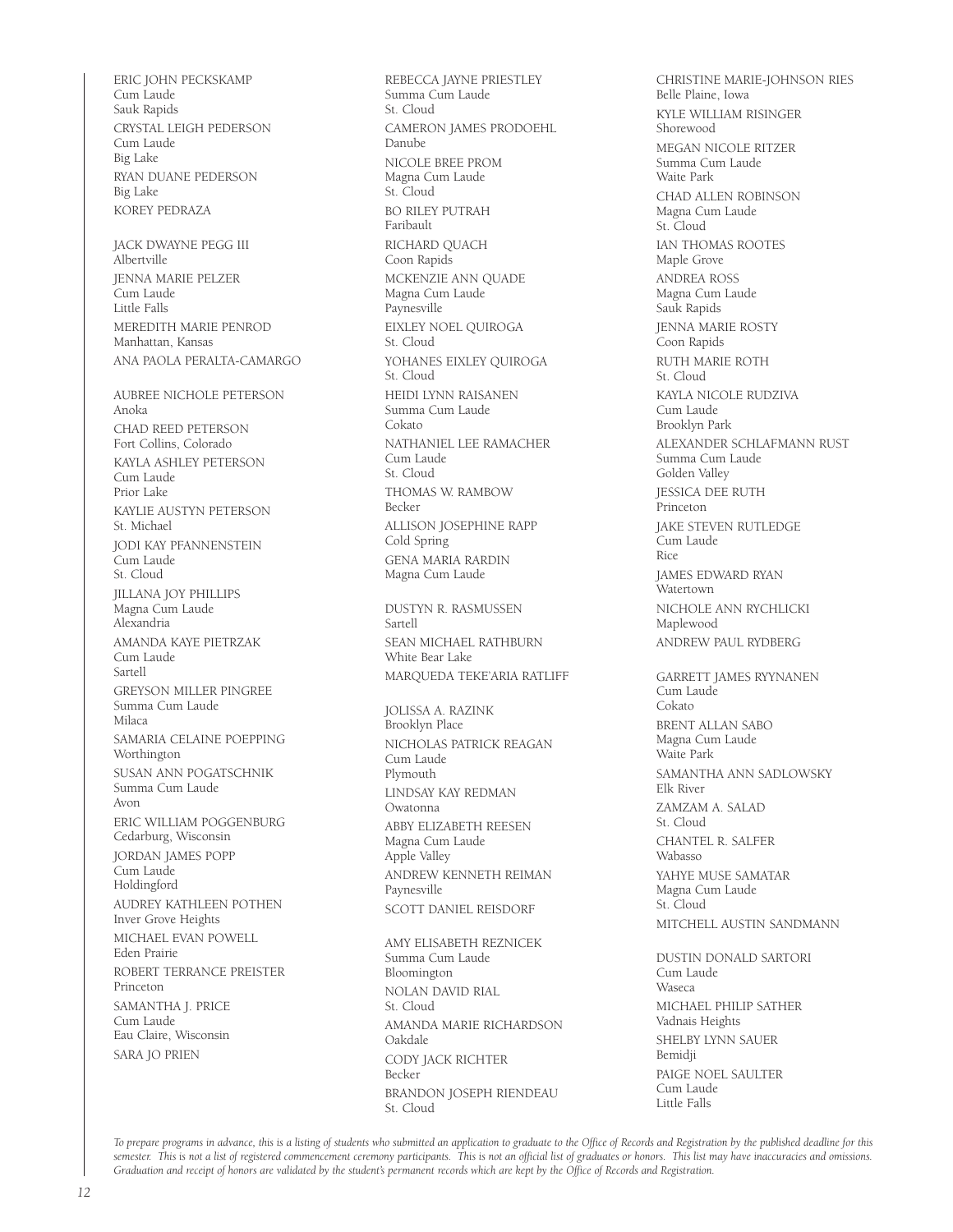ERIC JOHN PECKSKAMP Cum Laude Sauk Rapids CRYSTAL LEIGH PEDERSON Cum Laude Big Lake RYAN DUANE PEDERSON Big Lake KOREY PEDRAZA JACK DWAYNE PEGG III Albertville JENNA MARIE PELZER Cum Laude Little Falls MEREDITH MARIE PENROD Manhattan, Kansas ANA PAOLA PERALTA-CAMARGO AUBREE NICHOLE PETERSON Anoka CHAD REED PETERSON Fort Collins, Colorado KAYLA ASHLEY PETERSON Cum Laude Prior Lake KAYLIE AUSTYN PETERSON St. Michael JODI KAY PFANNENSTEIN Cum Laude St. Cloud JILLANA JOY PHILLIPS Magna Cum Laude Alexandria AMANDA KAYE PIETRZAK Cum Laude Sartell GREYSON MILLER PINGREE Summa Cum Laude Milaca SAMARIA CELAINE POEPPING Worthington SUSAN ANN POGATSCHNIK Summa Cum Laude Avon ERIC WILLIAM POGGENBURG Cedarburg, Wisconsin JORDAN JAMES POPP Cum Laude Holdingford AUDREY KATHLEEN POTHEN Inver Grove Heights MICHAEL EVAN POWELL Eden Prairie ROBERT TERRANCE PREISTER Princeton SAMANTHA J. PRICE Cum Laude Eau Claire, Wisconsin SARA JO PRIEN

REBECCA JAYNE PRIESTLEY Summa Cum Laude St. Cloud CAMERON JAMES PRODOEHL Danube NICOLE BREE PROM Magna Cum Laude St. Cloud BO RILEY PUTRAH Faribault RICHARD QUACH Coon Rapids MCKENZIE ANN QUADE Magna Cum Laude Paynesville EIXLEY NOEL QUIROGA St. Cloud YOHANES EIXLEY QUIROGA St. Cloud HEIDI LYNN RAISANEN Summa Cum Laude Cokato NATHANIEL LEE RAMACHER Cum Laude St. Cloud THOMAS W. RAMBOW Becker ALLISON JOSEPHINE RAPP Cold Spring GENA MARIA RARDIN Magna Cum Laude DUSTYN R. RASMUSSEN Sartell SEAN MICHAEL RATHBURN White Bear Lake MARQUEDA TEKE'ARIA RATLIFF JOLISSA A. RAZINK Brooklyn Place NICHOLAS PATRICK REAGAN Cum Laude Plymouth LINDSAY KAY REDMAN Owatonna ABBY ELIZABETH REESEN Magna Cum Laude Apple Valley ANDREW KENNETH REIMAN Paynesville SCOTT DANIEL REISDORF AMY ELISABETH REZNICEK Summa Cum Laude Bloomington NOLAN DAVID RIAL St. Cloud

AMANDA MARIE RICHARDSON Oakdale CODY JACK RICHTER Becker BRANDON JOSEPH RIENDEAU St. Cloud

CHRISTINE MARIE-JOHNSON RIES Belle Plaine, Iowa KYLE WILLIAM RISINGER Shorewood MEGAN NICOLE RITZER Summa Cum Laude Waite Park CHAD ALLEN ROBINSON Magna Cum Laude St. Cloud IAN THOMAS ROOTES Maple Grove ANDREA ROSS Magna Cum Laude Sauk Rapids JENNA MARIE ROSTY Coon Rapids RUTH MARIE ROTH St. Cloud KAYLA NICOLE RUDZIVA Cum Laude Brooklyn Park ALEXANDER SCHLAFMANN RUST Summa Cum Laude Golden Valley JESSICA DEE RUTH .<br>Princeton JAKE STEVEN RUTLEDGE Cum Laude Rice JAMES EDWARD RYAN Watertown NICHOLE ANN RYCHLICKI Maplewood ANDREW PAUL RYDBERG GARRETT JAMES RYYNANEN Cum Laude Cokato BRENT ALLAN SABO Magna Cum Laude Waite Park SAMANTHA ANN SADLOWSKY Elk River ZAMZAM A. SALAD St. Cloud CHANTEL R. SALFER Wabasso YAHYE MUSE SAMATAR Magna Cum Laude St. Cloud MITCHELL AUSTIN SANDMANN DUSTIN DONALD SARTORI Cum Laude Waseca MICHAEL PHILIP SATHER Vadnais Heights

SHELBY LYNN SAUER Bemidji PAIGE NOEL SAULTER Cum Laude Little Falls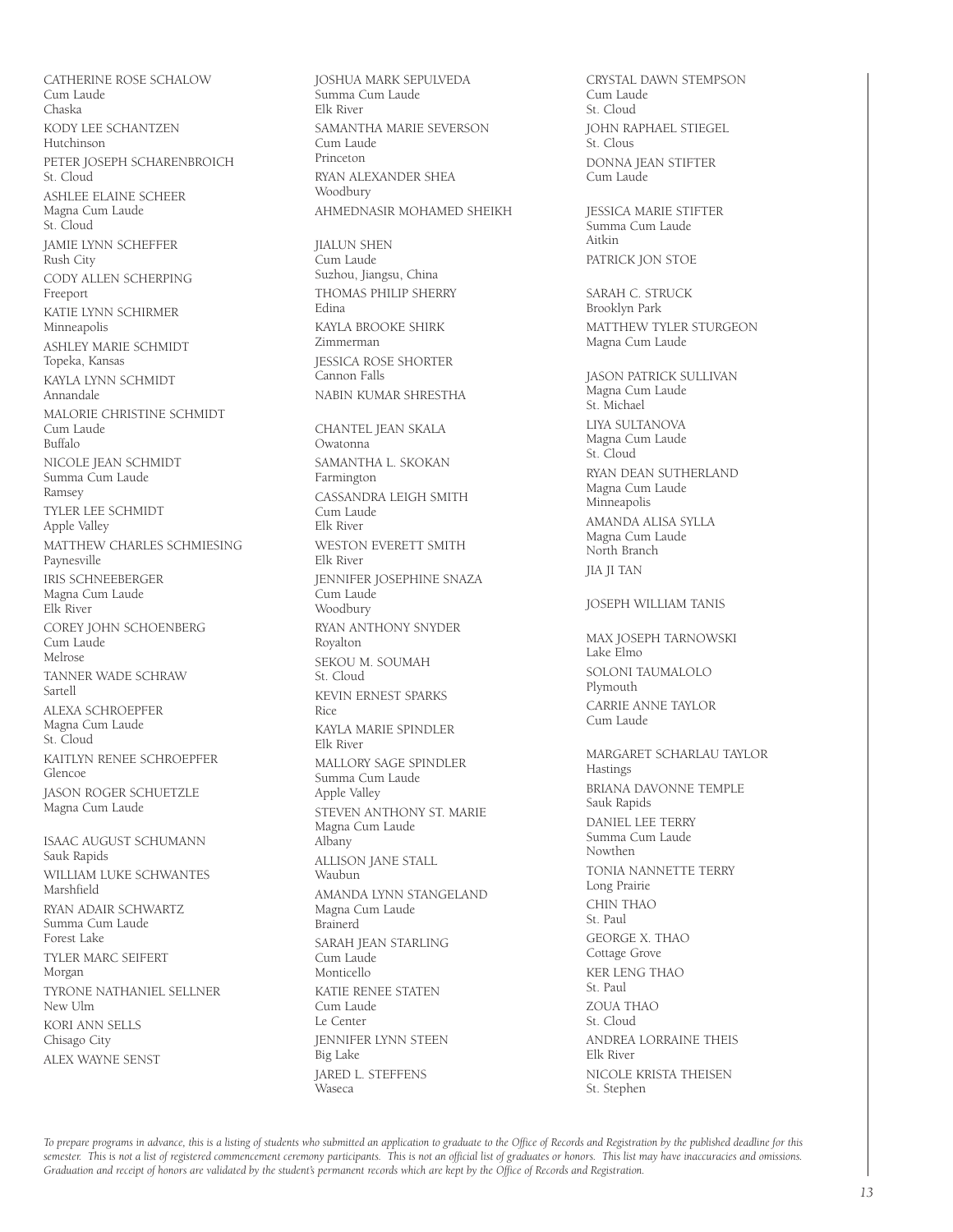CATHERINE ROSE SCHALOW Cum Laude Chaska KODY LEE SCHANTZEN Hutchinson PETER JOSEPH SCHARENBROICH St. Cloud ASHLEE ELAINE SCHEER Magna Cum Laude St. Cloud JAMIE LYNN SCHEFFER Rush City CODY ALLEN SCHERPING Freeport KATIE LYNN SCHIRMER Minneapolis ASHLEY MARIE SCHMIDT Topeka, Kansas KAYLA LYNN SCHMIDT Annandale MALORIE CHRISTINE SCHMIDT Cum Laude Buffalo NICOLE JEAN SCHMIDT Summa Cum Laude Ramsey TYLER LEE SCHMIDT Apple Valley MATTHEW CHARLES SCHMIESING Paynesville IRIS SCHNEEBERGER Magna Cum Laude Elk River COREY JOHN SCHOENBERG Cum Laude Melrose TANNER WADE SCHRAW Sartell ALEXA SCHROEPFER Magna Cum Laude St. Cloud KAITLYN RENEE SCHROEPFER Glencoe JASON ROGER SCHUETZLE Magna Cum Laude ISAAC AUGUST SCHUMANN Sauk Rapids WILLIAM LUKE SCHWANTES

Marshfield RYAN ADAIR SCHWARTZ Summa Cum Laude Forest Lake TYLER MARC SEIFERT Morgan TYRONE NATHANIEL SELLNER New Ulm KORI ANN SELLS Chisago City ALEX WAYNE SENST

JOSHUA MARK SEPULVEDA Summa Cum Laude Elk River SAMANTHA MARIE SEVERSON Cum Laude Princeton RYAN ALEXANDER SHEA Woodbury AHMEDNASIR MOHAMED SHEIKH

JIALUN SHEN Cum Laude Suzhou, Jiangsu, China THOMAS PHILIP SHERRY Edina KAYLA BROOKE SHIRK Zimmerman JESSICA ROSE SHORTER Cannon Falls NABIN KUMAR SHRESTHA

CHANTEL JEAN SKALA Owatonna SAMANTHA L. SKOKAN Farmington CASSANDRA LEIGH SMITH Cum Laude Elk River WESTON EVERETT SMITH Elk River JENNIFER JOSEPHINE SNAZA -<br>Cum Laude Woodbury RYAN ANTHONY SNYDER Royalton SEKOU M. SOUMAH St. Cloud KEVIN ERNEST SPARKS Rice KAYLA MARIE SPINDLER Elk River MALLORY SAGE SPINDLER Summa Cum Laude Apple Valley STEVEN ANTHONY ST. MARIE Magna Cum Laude Albany ALLISON JANE STALL Waubun AMANDA LYNN STANGELAND Magna Cum Laude Brainerd SARAH JEAN STARLING Cum Laude Monticello KATIE RENEE STATEN Cum Laude Le Center JENNIFER LYNN STEEN Big Lake JARED L. STEFFENS Waseca

CRYSTAL DAWN STEMPSON Cum Laude St. Cloud JOHN RAPHAEL STIEGEL St. Clous DONNA JEAN STIFTER Cum Laude JESSICA MARIE STIFTER

Summa Cum Laude Aitkin PATRICK JON STOE

SARAH C. STRUCK Brooklyn Park MATTHEW TYLER STURGEON Magna Cum Laude

JASON PATRICK SULLIVAN Magna Cum Laude St. Michael LIYA SULTANOVA Magna Cum Laude St. Cloud RYAN DEAN SUTHERLAND Magna Cum Laude Minneapolis AMANDA ALISA SYLLA Magna Cum Laude North Branch JIA JI TAN

#### JOSEPH WILLIAM TANIS

MAX JOSEPH TARNOWSKI Lake Elmo SOLONI TAUMALOLO Plymouth CARRIE ANNE TAYLOR Cum Laude

MARGARET SCHARLAU TAYLOR Hastings BRIANA DAVONNE TEMPLE Sauk Rapids DANIEL LEE TERRY Summa Cum Laude Nowthen TONIA NANNETTE TERRY Long Prairie CHIN THAO St. Paul GEORGE X. THAO Cottage Grove KER LENG THAO St. Paul ZOUA THAO St. Cloud ANDREA LORRAINE THEIS Elk River NICOLE KRISTA THEISEN St. Stephen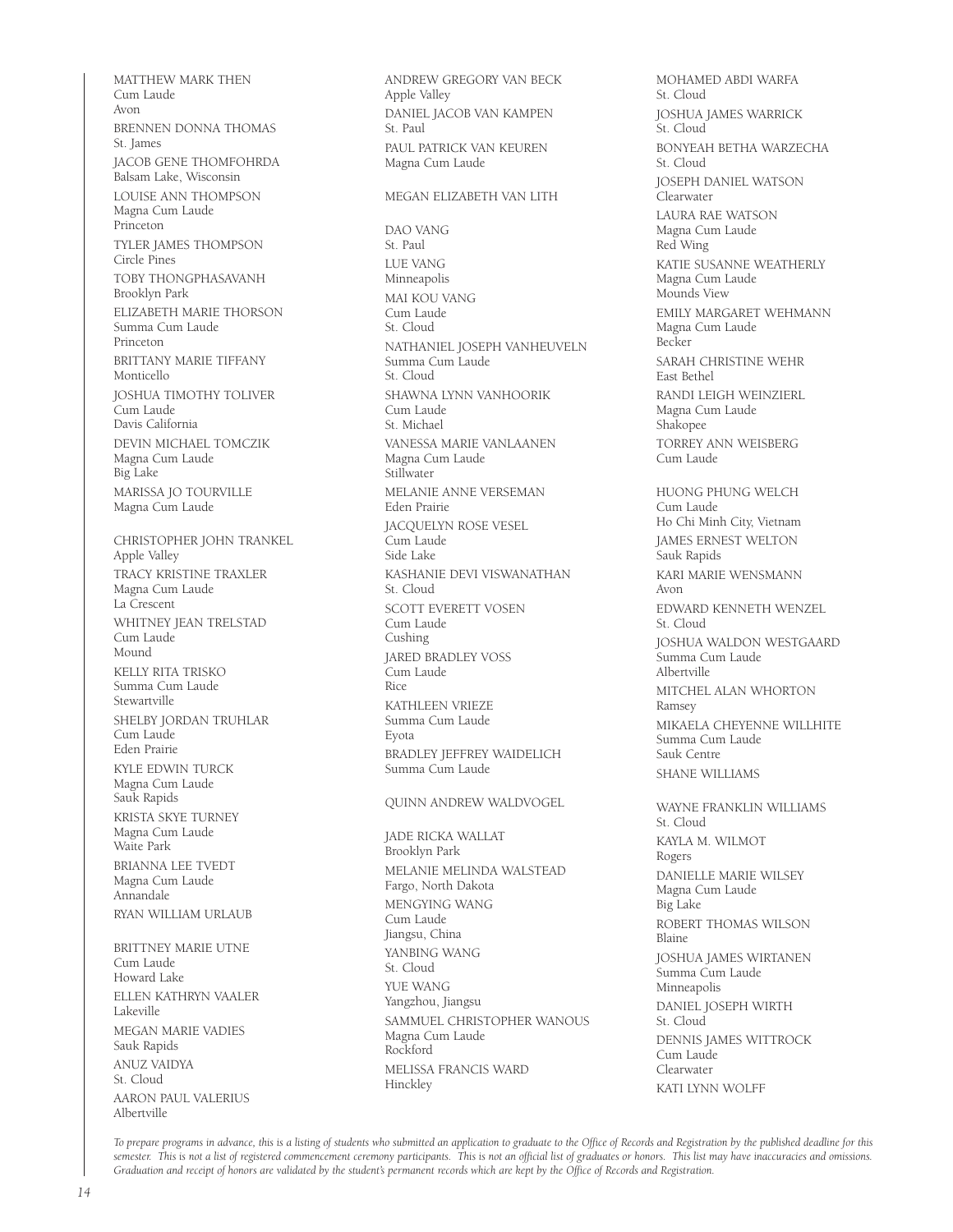MATTHEW MARK THEN Cum Laude Avon BRENNEN DONNA THOMAS St. James JACOB GENE THOMFOHRDA Balsam Lake, Wisconsin LOUISE ANN THOMPSON Magna Cum Laude Princeton TYLER JAMES THOMPSON Circle Pines TOBY THONGPHASAVANH Brooklyn Park ELIZABETH MARIE THORSON Summa Cum Laude Princeton BRITTANY MARIE TIFFANY Monticello JOSHUA TIMOTHY TOLIVER Cum Laude Davis California DEVIN MICHAEL TOMCZIK Magna Cum Laude Big Lake MARISSA JO TOURVILLE Magna Cum Laude CHRISTOPHER JOHN TRANKEL Apple Valley TRACY KRISTINE TRAXLER Magna Cum Laude La Crescent WHITNEY JEAN TRELSTAD Cum Laude Mound KELLY RITA TRISKO Summa Cum Laude Stewartville SHELBY JORDAN TRUHLAR Cum Laude Eden Prairie KYLE EDWIN TURCK Magna Cum Laude Sauk Rapids KRISTA SKYE TURNEY Magna Cum Laude Waite Park BRIANNA LEE TVEDT Magna Cum Laude Annandale RYAN WILLIAM URLAUB BRITTNEY MARIE UTNE Cum Laude Howard Lake ELLEN KATHRYN VAALER Lakeville MEGAN MARIE VADIES Sauk Rapids ANUZ VAIDYA St. Cloud

ANDREW GREGORY VAN BECK Apple Valley DANIEL JACOB VAN KAMPEN St. Paul PAUL PATRICK VAN KEUREN Magna Cum Laude MEGAN ELIZABETH VAN LITH DAO VANG St. Paul LUE VANG Minneapolis MAI KOU VANG Cum Laude St. Cloud NATHANIEL JOSEPH VANHEUVELN Summa Cum Laude St. Cloud SHAWNA LYNN VANHOORIK Cum Laude St. Michael VANESSA MARIE VANLAANEN Magna Cum Laude Stillwater MELANIE ANNE VERSEMAN Eden Prairie JACQUELYN ROSE VESEL Cum Laude Side Lake KASHANIE DEVI VISWANATHAN St. Cloud SCOTT EVERETT VOSEN Cum Laude Cushing JARED BRADLEY VOSS Cum Laude Rice KATHLEEN VRIEZE Summa Cum Laude

Eyota BRADLEY JEFFREY WAIDELICH Summa Cum Laude

#### QUINN ANDREW WALDVOGEL

JADE RICKA WALLAT Brooklyn Park MELANIE MELINDA WALSTEAD Fargo, North Dakota MENGYING WANG Cum Laude Jiangsu, China YANBING WANG St. Cloud YUE WANG Yangzhou, Jiangsu SAMMUEL CHRISTOPHER WANOUS Magna Cum Laude Rockford MELISSA FRANCIS WARD Hinckley

MOHAMED ABDI WARFA St. Cloud JOSHUA JAMES WARRICK St. Cloud BONYEAH BETHA WARZECHA St. Cloud JOSEPH DANIEL WATSON Clearwater LAURA RAE WATSON Magna Cum Laude Red Wing KATIE SUSANNE WEATHERLY Magna Cum Laude Mounds View EMILY MARGARET WEHMANN Magna Cum Laude Becker SARAH CHRISTINE WEHR East Bethel RANDI LEIGH WEINZIERL Magna Cum Laude Shakopee TORREY ANN WEISBERG Cum Laude HUONG PHUNG WELCH Cum Laude Ho Chi Minh City, Vietnam JAMES ERNEST WELTON Sauk Rapids KARI MARIE WENSMANN Avon EDWARD KENNETH WENZEL St. Cloud JOSHUA WALDON WESTGAARD Summa Cum Laude Albertville MITCHEL ALAN WHORTON Ramsey MIKAELA CHEYENNE WILLHITE Summa Cum Laude Sauk Centre SHANE WILLIAMS WAYNE FRANKLIN WILLIAMS St. Cloud KAYLA M. WILMOT Rogers DANIELLE MARIE WILSEY Magna Cum Laude Big Lake ROBERT THOMAS WILSON Blaine JOSHUA JAMES WIRTANEN Summa Cum Laude Minneapolis DANIEL JOSEPH WIRTH St. Cloud DENNIS JAMES WITTROCK Cum Laude Clearwater KATI LYNN WOLFF

*To prepare programs in advance, this is a listing of students who submitted an application to graduate to the Office of Records and Registration by the published deadline for this semester. This is not a list of registered commencement ceremony participants. This is not an official list of graduates or honors. This list may have inaccuracies and omissions. Graduation and receipt of honors are validated by the student's permanent records which are kept by the Office of Records and Registration.*

AARON PAUL VALERIUS

Albertville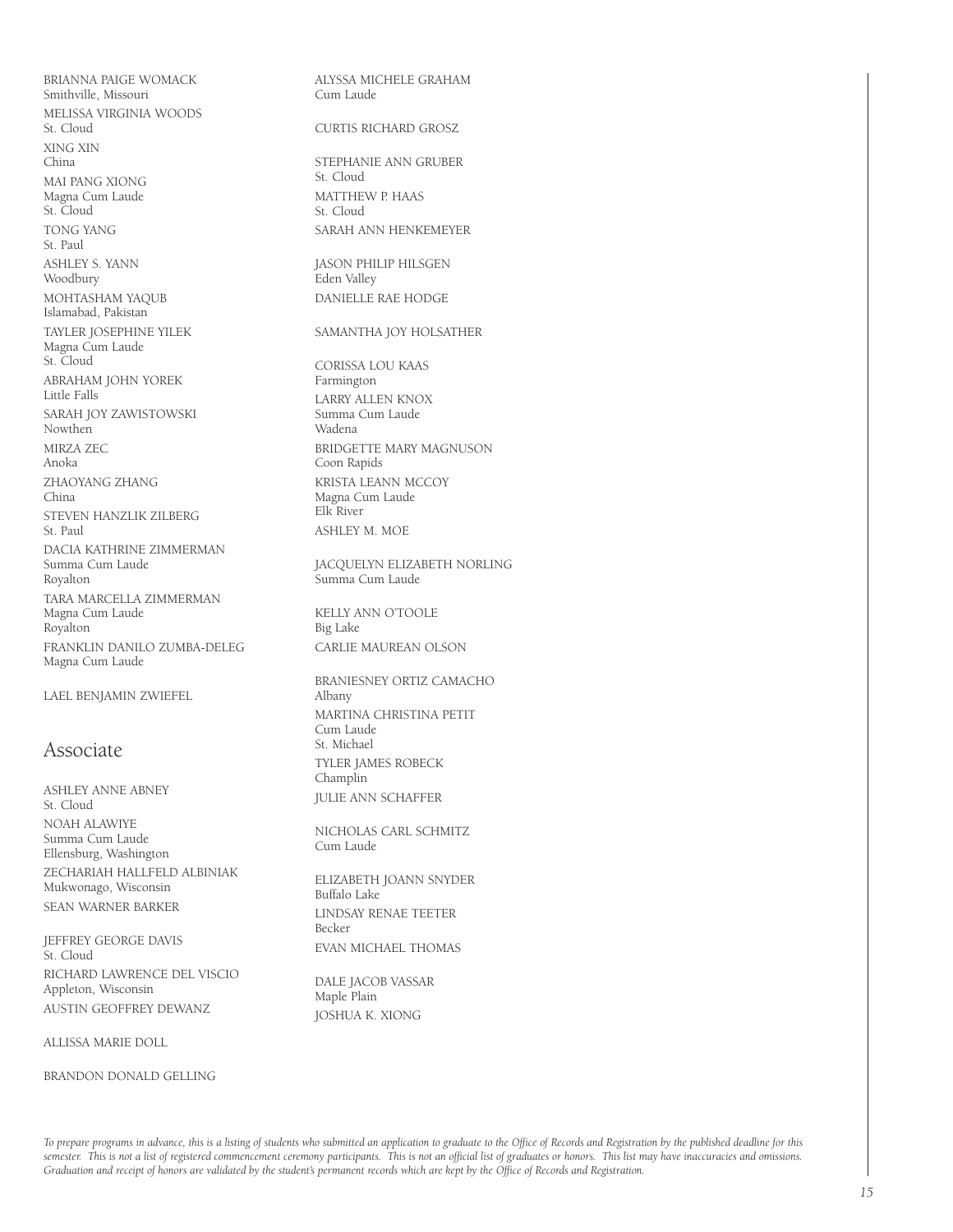BRIANNA PAIGE WOMACK Smithville, Missouri MELISSA VIRGINIA WOODS St. Cloud XING XIN China MAI PANG XIONG Magna Cum Laude St. Cloud TONG YANG St. Paul ASHLEY S. YANN Woodbury MOHTASHAM YAQUB Islamabad, Pakistan TAYLER JOSEPHINE YILEK Magna Cum Laude St. Cloud ABRAHAM JOHN YOREK Little Falls SARAH JOY ZAWISTOWSKI Nowthen MIRZA ZEC Anoka ZHAOYANG ZHANG China STEVEN HANZLIK ZILBERG St. Paul DACIA KATHRINE ZIMMERMAN Summa Cum Laude Royalton TARA MARCELLA ZIMMERMAN Magna Cum Laude Royalton FRANKLIN DANILO ZUMBA-DELEG Magna Cum Laude

LAEL BENJAMIN ZWIEFEL

#### Associate

ASHLEY ANNE ABNEY St. Cloud NOAH ALAWIYE Summa Cum Laude Ellensburg, Washington ZECHARIAH HALLFELD ALBINIAK Mukwonago, Wisconsin SEAN WARNER BARKER

JEFFREY GEORGE DAVIS St. Cloud RICHARD LAWRENCE DEL VISCIO Appleton, Wisconsin AUSTIN GEOFFREY DEWANZ

ALLISSA MARIE DOLL

BRANDON DONALD GELLING

ALYSSA MICHELE GRAHAM Cum Laude CURTIS RICHARD GROSZ STEPHANIE ANN GRUBER St. Cloud MATTHEW P. HAAS St. Cloud SARAH ANN HENKEMEYER JASON PHILIP HILSGEN Eden Valley DANIELLE RAE HODGE SAMANTHA JOY HOLSATHER CORISSA LOU KAAS Farmington LARRY ALLEN KNOX Summa Cum Laude Wadena BRIDGETTE MARY MAGNUSON Coon Rapids KRISTA LEANN MCCOY Magna Cum Laude Elk River ASHLEY M. MOE JACQUELYN ELIZABETH NORLING Summa Cum Laude KELLY ANN O'TOOLE Big Lake CARLIE MAUREAN OLSON BRANIESNEY ORTIZ CAMACHO Albany MARTINA CHRISTINA PETIT Cum Laude St. Michael TYLER JAMES ROBECK Champlin JULIE ANN SCHAFFER

NICHOLAS CARL SCHMITZ Cum Laude

ELIZABETH JOANN SNYDER Buffalo Lake LINDSAY RENAE TEETER Becker EVAN MICHAEL THOMAS

DALE JACOB VASSAR Maple Plain JOSHUA K. XIONG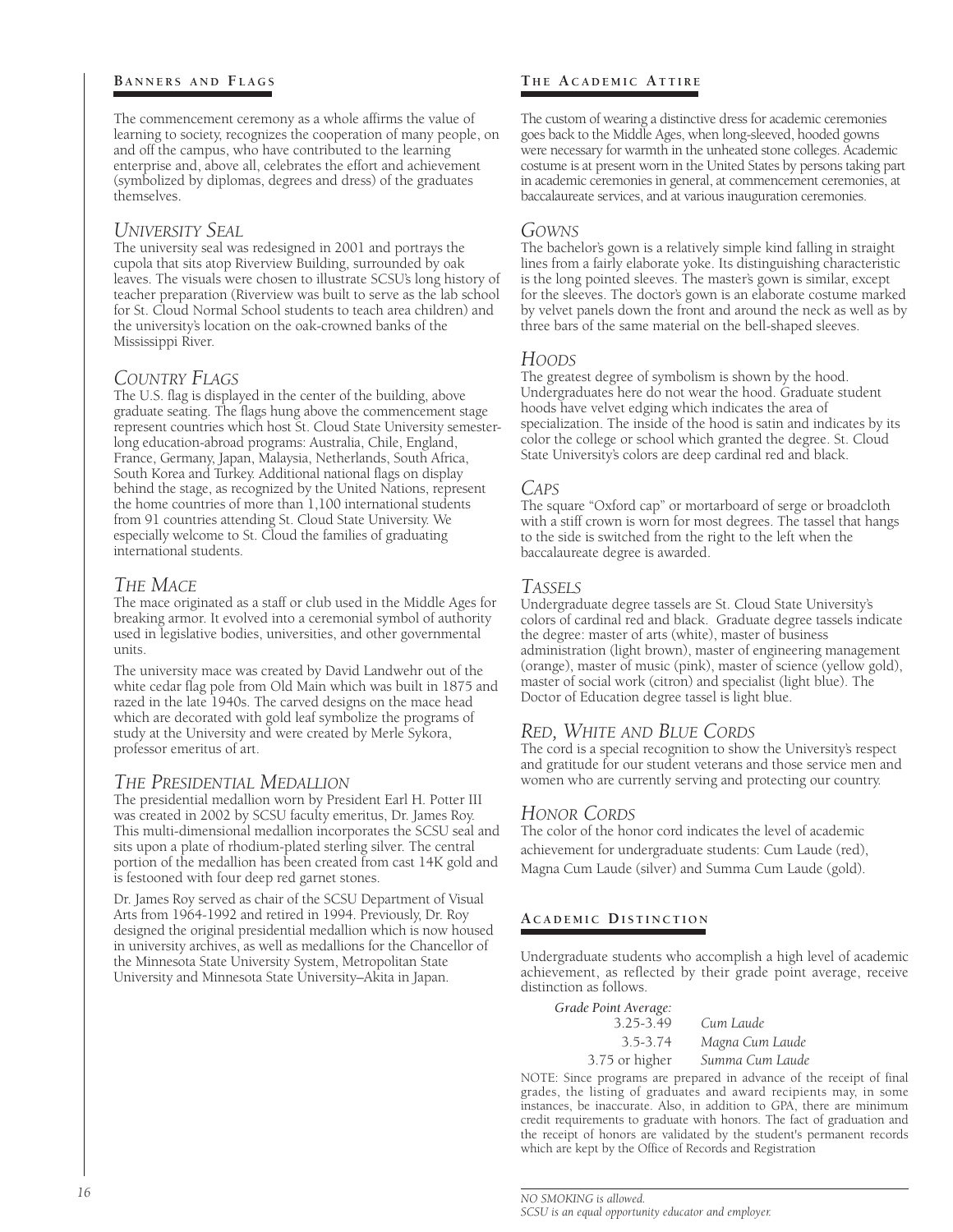#### **B a n n e r s a n d Fl a g s**

The commencement ceremony as a whole affirms the value of learning to society, recognizes the cooperation of many people, on and off the campus, who have contributed to the learning enterprise and, above all, celebrates the effort and achievement (symbolized by diplomas, degrees and dress) of the graduates themselves.

### *University Seal*

The university seal was redesigned in 2001 and portrays the cupola that sits atop Riverview Building, surrounded by oak leaves. The visuals were chosen to illustrate SCSU's long history of teacher preparation (Riverview was built to serve as the lab school for St. Cloud Normal School students to teach area children) and the university's location on the oak-crowned banks of the Mississippi River.

## *Country Flags*

The U.S. flag is displayed in the center of the building, above graduate seating. The flags hung above the commencement stage represent countries which host St. Cloud State University semesterlong education-abroad programs: Australia, Chile, England, France, Germany, Japan, Malaysia, Netherlands, South Africa, South Korea and Turkey. Additional national flags on display behind the stage, as recognized by the United Nations, represent the home countries of more than 1,100 international students from 91 countries attending St. Cloud State University. We especially welcome to St. Cloud the families of graduating international students.

## *The Mace*

The mace originated as a staff or club used in the Middle Ages for breaking armor. It evolved into a ceremonial symbol of authority used in legislative bodies, universities, and other governmental units.

The university mace was created by David Landwehr out of the white cedar flag pole from Old Main which was built in 1875 and razed in the late 1940s. The carved designs on the mace head which are decorated with gold leaf symbolize the programs of study at the University and were created by Merle Sykora, professor emeritus of art.

#### *The Presidential Medallion*

The presidential medallion worn by President Earl H. Potter III was created in 2002 by SCSU faculty emeritus, Dr. James Roy. This multi-dimensional medallion incorporates the SCSU seal and sits upon a plate of rhodium-plated sterling silver. The central portion of the medallion has been created from cast 14K gold and is festooned with four deep red garnet stones.

Dr. James Roy served as chair of the SCSU Department of Visual Arts from 1964-1992 and retired in 1994. Previously, Dr. Roy designed the original presidential medallion which is now housed in university archives, as well as medallions for the Chancellor of the Minnesota State University System, Metropolitan State University and Minnesota State University–Akita in Japan.

#### **T h e A c a d e m i c At t i r e**

The custom of wearing a distinctive dress for academic ceremonies goes back to the Middle Ages, when long-sleeved, hooded gowns were necessary for warmth in the unheated stone colleges. Academic costume is at present worn in the United States by persons taking part in academic ceremonies in general, at commencement ceremonies, at baccalaureate services, and at various inauguration ceremonies.

#### *Gowns*

The bachelor's gown is a relatively simple kind falling in straight lines from a fairly elaborate yoke. Its distinguishing characteristic is the long pointed sleeves. The master's gown is similar, except for the sleeves. The doctor's gown is an elaborate costume marked by velvet panels down the front and around the neck as well as by three bars of the same material on the bell-shaped sleeves.

#### *Hoods*

The greatest degree of symbolism is shown by the hood. Undergraduates here do not wear the hood. Graduate student hoods have velvet edging which indicates the area of specialization. The inside of the hood is satin and indicates by its color the college or school which granted the degree. St. Cloud State University's colors are deep cardinal red and black.

#### *Caps*

The square "Oxford cap" or mortarboard of serge or broadcloth with a stiff crown is worn for most degrees. The tassel that hangs to the side is switched from the right to the left when the baccalaureate degree is awarded.

#### *Tassels*

Undergraduate degree tassels are St. Cloud State University's colors of cardinal red and black. Graduate degree tassels indicate the degree: master of arts (white), master of business administration (light brown), master of engineering management (orange), master of music (pink), master of science (yellow gold), master of social work (citron) and specialist (light blue). The Doctor of Education degree tassel is light blue.

## *Red, White and Blue Cords*

The cord is a special recognition to show the University's respect and gratitude for our student veterans and those service men and women who are currently serving and protecting our country.

## *Honor Cords*

The color of the honor cord indicates the level of academic achievement for undergraduate students: Cum Laude (red), Magna Cum Laude (silver) and Summa Cum Laude (gold).

#### **A c a d e m i c Di s t i n c t i o n**

Undergraduate students who accomplish a high level of academic achievement, as reflected by their grade point average, receive distinction as follows.

*Grade Point Average:*

3.25-3.49 *Cum Laude* 3.5-3.74 *Magna Cum Laude* 3.75 or higher *Summa Cum Laude*

NOTE: Since programs are prepared in advance of the receipt of final grades, the listing of graduates and award recipients may, in some instances, be inaccurate. Also, in addition to GPA, there are minimum credit requirements to graduate with honors. The fact of graduation and the receipt of honors are validated by the student's permanent records which are kept by the Office of Records and Registration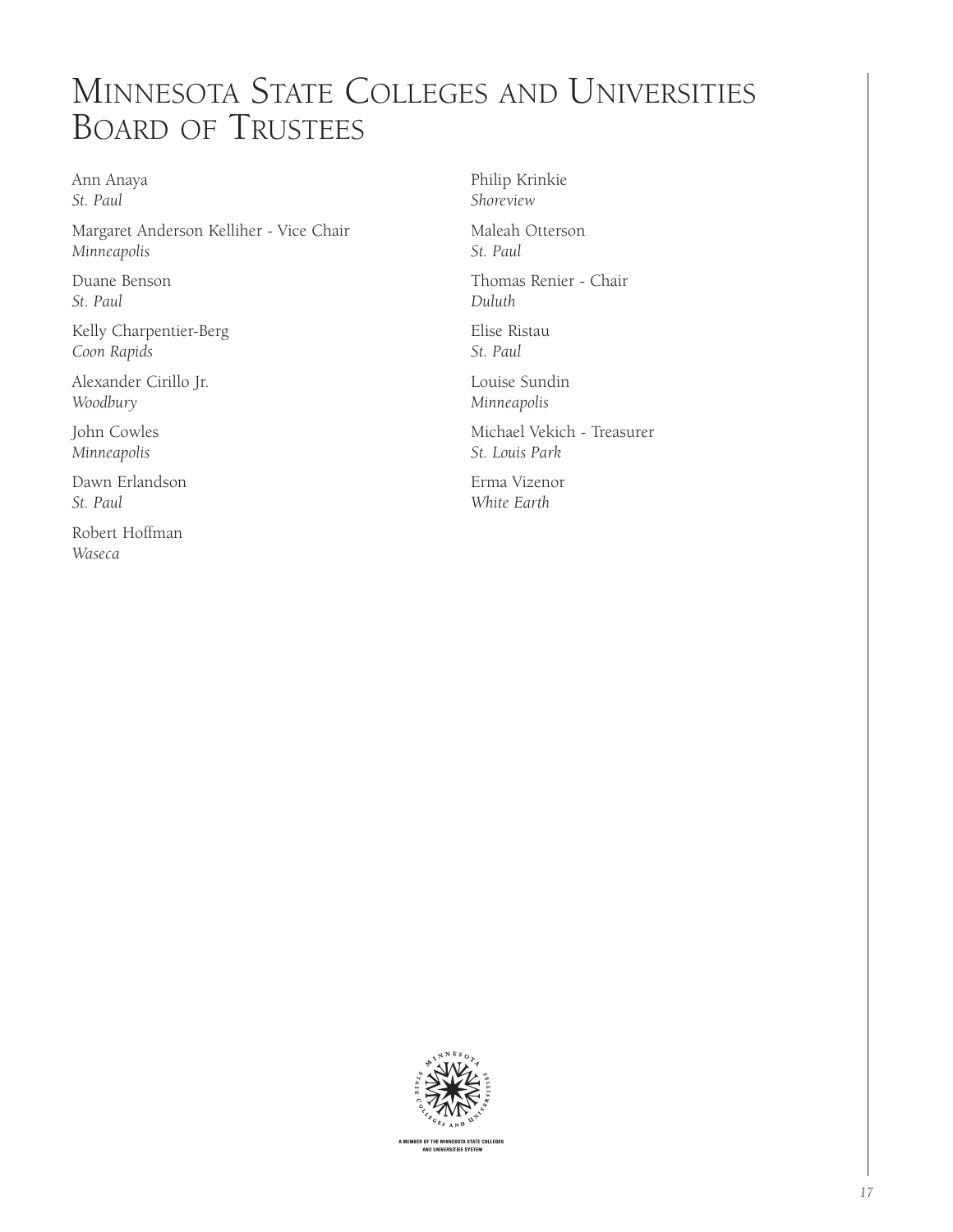## Minnesota State Colleges and Universities Board of Trustees

Ann Anaya *St. Paul*

Margaret Anderson Kelliher - Vice Chair *Minneapolis*

Duane Benson *St. Paul*

Kelly Charpentier-Berg *Coon Rapids*

Alexander Cirillo Jr. *Woodbury*

John Cowles *Minneapolis*

Dawn Erlandson *St. Paul*

Robert Hoffman *Waseca*

Philip Krinkie *Shoreview*

Maleah Otterson *St. Paul*

Thomas Renier - Chair *Duluth*

Elise Ristau *St. Paul* 

Louise Sundin *Minneapolis*

Michael Vekich - Treasurer *St. Louis Park*

Erma Vizenor *White Earth*



ER OF THE MINNESOTA STATE COLLEG<br>And Universities system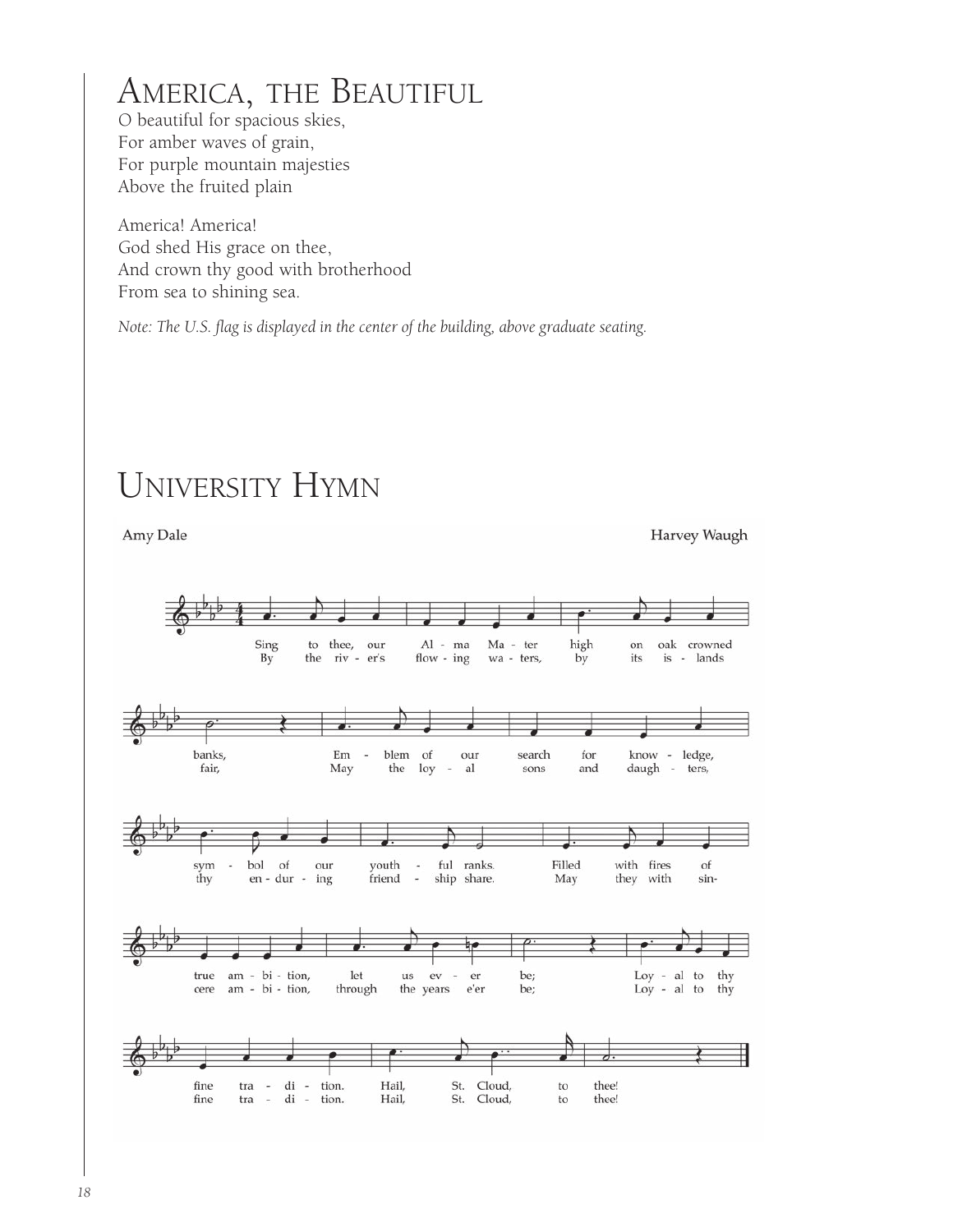## America, the Beautiful

O beautiful for spacious skies, For amber waves of grain, For purple mountain majesties Above the fruited plain

America! America! God shed His grace on thee, And crown thy good with brotherhood From sea to shining sea.

*Note: The U.S. flag is displayed in the center of the building, above graduate seating.*

## University Hymn

Amy Dale

Harvey Waugh